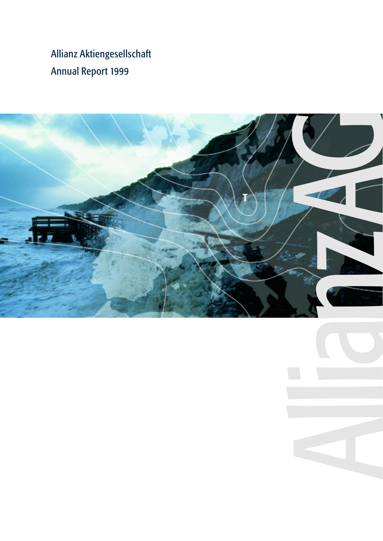Allianz Aktiengesellschaft Annual Report 1999

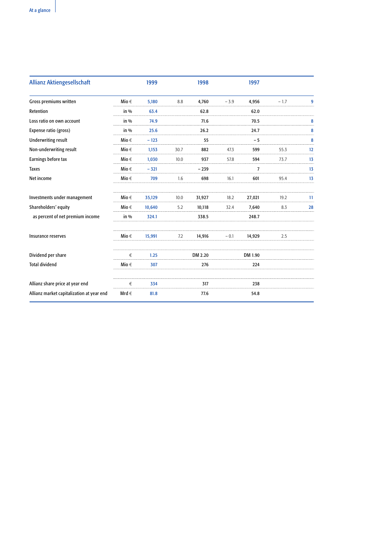| <b>Allianz Aktiengesellschaft</b>         |           | 1999   |      | 1998    |        | 1997    |        |    |
|-------------------------------------------|-----------|--------|------|---------|--------|---------|--------|----|
| Gross premiums written                    | Mio $\in$ | 5,180  | 8.8  | 4,760   | $-3.9$ | 4,956   | $-1.7$ | 9  |
| Retention                                 | in %      | 63.4   |      | 62.8    |        | 62.0    |        |    |
| Loss ratio on own account                 | in %      | 74.9   |      | 71.6    |        | 70.5    |        | 8  |
| Expense ratio (gross)                     | $in\%$    | 25.6   |      | 26.2    |        | 24.7    |        | 8  |
| <b>Underwriting result</b>                | Mio $\in$ | $-123$ |      | 55      |        | - 5     |        | 8  |
| Non-underwriting result                   | Mio $\in$ | 1,153  | 30.7 | 882     | 47.3   | 599     | 55.3   | 12 |
| Earnings before tax                       | Mio $\in$ | 1.030  | 10.0 | 937     | 57.8   | 594     | 73.7   | 13 |
| <b>Taxes</b>                              | Mio $\in$ | $-321$ |      | $-239$  |        | 7       |        | 13 |
| Net income                                | Mio $\in$ | 709    | 1.6  | 698     | 16.1   | 601     | 95.4   | 13 |
| Investments under management              | Mio $\in$ | 35,129 | 10.0 | 31,927  | 18.2   | 27,021  | 19.2   | 11 |
| Shareholders' equity                      | Mio $\in$ | 10.640 | 5.2  | 10.118  | 32.4   | 7,640   | 8.3    | 28 |
| as percent of net premium income          | in %      | 324.1  |      | 338.5   |        | 248.7   |        |    |
| Insurance reserves                        | Mio $\in$ | 15,991 | 7.2  | 14,916  | - 0.1  | 14,929  | 2.5    |    |
| Dividend per share                        | €         | 1.25   |      | DM 2.20 |        | DM 1.90 |        |    |
| <b>Total dividend</b>                     | Mio $\in$ | 307    |      | 276     |        | 224     |        |    |
| Allianz share price at year end           | €         | 334    |      | 317     |        | 238     |        |    |
| Allianz market capitalization at year end | Mrd $\in$ | 81.8   |      | 77.6    |        | 54.8    |        |    |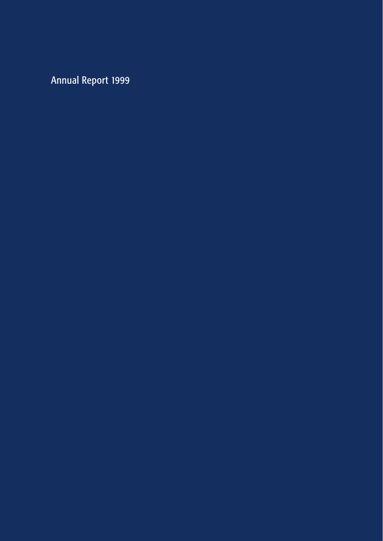Annual Report 1999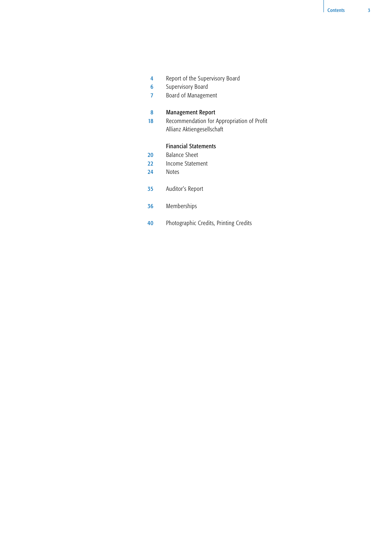- Report of the Supervisory Board 4
- Supervisory Board 6
- Board of Management 7

#### Management Report 8

Recommendation for Appropriation of Profit Allianz Aktiengesellschaft 18

# Financial Statements

- Balance Sheet 20
- Income Statement 22
- Notes 24
- Auditor's Report 35
- Memberships 36
- Photographic Credits, Printing Credits 40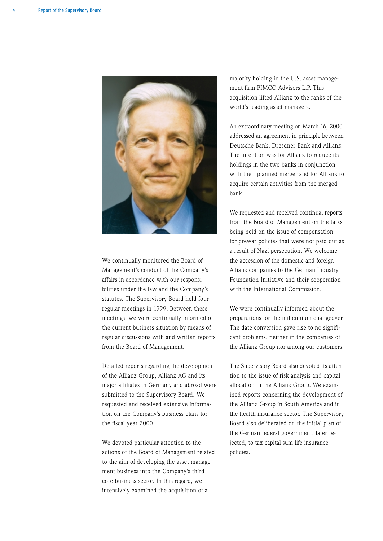

We continually monitored the Board of Management's conduct of the Company's affairs in accordance with our responsibilities under the law and the Company's statutes. The Supervisory Board held four regular meetings in 1999. Between these meetings, we were continually informed of the current business situation by means of regular discussions with and written reports from the Board of Management.

Detailed reports regarding the development of the Allianz Group, Allianz AG and its major affiliates in Germany and abroad were submitted to the Supervisory Board. We requested and received extensive information on the Company's business plans for the fiscal year 2000.

We devoted particular attention to the actions of the Board of Management related to the aim of developing the asset management business into the Company's third core business sector. In this regard, we intensively examined the acquisition of a

majority holding in the U.S. asset management firm PIMCO Advisors L.P. This acquisition lifted Allianz to the ranks of the world's leading asset managers.

An extraordinary meeting on March 16, 2000 addressed an agreement in principle between Deutsche Bank, Dresdner Bank and Allianz. The intention was for Allianz to reduce its holdings in the two banks in conjunction with their planned merger and for Allianz to acquire certain activities from the merged bank.

We requested and received continual reports from the Board of Management on the talks being held on the issue of compensation for prewar policies that were not paid out as a result of Nazi persecution. We welcome the accession of the domestic and foreign Allianz companies to the German Industry Foundation Initiative and their cooperation with the International Commission.

We were continually informed about the preparations for the millennium changeover. The date conversion gave rise to no significant problems, neither in the companies of the Allianz Group nor among our customers.

The Supervisory Board also devoted its attention to the issue of risk analysis and capital allocation in the Allianz Group. We examined reports concerning the development of the Allianz Group in South America and in the health insurance sector. The Supervisory Board also deliberated on the initial plan of the German federal government, later rejected, to tax capital-sum life insurance policies.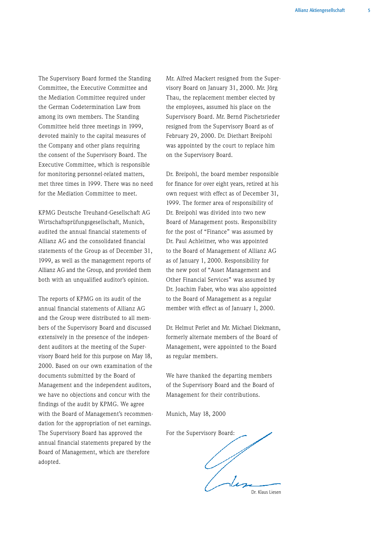The Supervisory Board formed the Standing Committee, the Executive Committee and the Mediation Committee required under the German Codetermination Law from among its own members. The Standing Committee held three meetings in 1999, devoted mainly to the capital measures of the Company and other plans requiring the consent of the Supervisory Board. The Executive Committee, which is responsible for monitoring personnel-related matters, met three times in 1999. There was no need for the Mediation Committee to meet.

KPMG Deutsche Treuhand-Gesellschaft AG Wirtschaftsprüfungsgesellschaft, Munich, audited the annual financial statements of Allianz AG and the consolidated financial statements of the Group as of December 31, 1999, as well as the management reports of Allianz AG and the Group, and provided them both with an unqualified auditor's opinion.

The reports of KPMG on its audit of the annual financial statements of Allianz AG and the Group were distributed to all members of the Supervisory Board and discussed extensively in the presence of the independent auditors at the meeting of the Supervisory Board held for this purpose on May 18, 2000. Based on our own examination of the documents submitted by the Board of Management and the independent auditors, we have no objections and concur with the findings of the audit by KPMG. We agree with the Board of Management's recommendation for the appropriation of net earnings. The Supervisory Board has approved the annual financial statements prepared by the Board of Management, which are therefore adopted.

Mr. Alfred Mackert resigned from the Supervisory Board on January 31, 2000. Mr. Jörg Thau, the replacement member elected by the employees, assumed his place on the Supervisory Board. Mr. Bernd Pischetsrieder resigned from the Supervisory Board as of February 29, 2000. Dr. Diethart Breipohl was appointed by the court to replace him on the Supervisory Board.

Dr. Breipohl, the board member responsible for finance for over eight years, retired at his own request with effect as of December 31, 1999. The former area of responsibility of Dr. Breipohl was divided into two new Board of Management posts. Responsibility for the post of "Finance" was assumed by Dr. Paul Achleitner, who was appointed to the Board of Management of Allianz AG as of January 1, 2000. Responsibility for the new post of "Asset Management and Other Financial Services" was assumed by Dr. Joachim Faber, who was also appointed to the Board of Management as a regular member with effect as of January 1, 2000.

Dr. Helmut Perlet and Mr. Michael Diekmann, formerly alternate members of the Board of Management, were appointed to the Board as regular members.

We have thanked the departing members of the Supervisory Board and the Board of Management for their contributions.

Munich, May 18, 2000

For the Supervisory Board: Dr. Klaus Liesen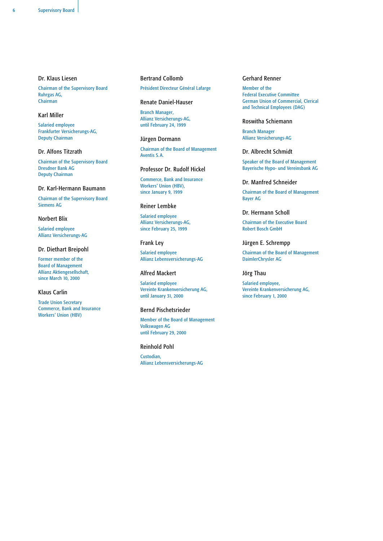# Dr. Klaus Liesen

Chairman of the Supervisory Board Ruhrgas AG, Chairman

# Karl Miller

Salaried employee Frankfurter Versicherungs-AG, Deputy Chairman

# Dr. Alfons Titzrath

Chairman of the Supervisory Board Dresdner Bank AG Deputy Chairman

#### Dr. Karl-Hermann Baumann

Chairman of the Supervisory Board Siemens AG

# Norbert Blix

Salaried employee Allianz Versicherungs-AG

# Dr. Diethart Breipohl

Former member of the Board of Management Allianz Aktiengesellschaft, since March 10, 2000

# Klaus Carlin

Trade Union Secretary Commerce, Bank and Insurance Workers' Union (HBV)

### Bertrand Collomb

Président Directeur Général Lafarge

#### Renate Daniel-Hauser

Branch Manager, Allianz Versicherungs-AG, until February 24, 1999

#### Jürgen Dormann

Chairman of the Board of Management Aventis S.A.

# Professor Dr. Rudolf Hickel

Commerce, Bank and Insurance Workers' Union (HBV), since January 9, 1999

# Reiner Lembke

Salaried employee Allianz Versicherungs-AG, since February 25, 1999

# Frank Ley

Salaried employee Allianz Lebensversicherungs-AG

# Alfred Mackert

Salaried employee Vereinte Krankenversicherung AG, until January 31, 2000

# Bernd Pischetsrieder

Member of the Board of Management Volkswagen AG until February 29, 2000

## Reinhold Pohl

Custodian, Allianz Lebensversicherungs-AG

## Gerhard Renner

Member of the Federal Executive Committee German Union of Commercial, Clerical and Technical Employees (DAG)

# Roswitha Schiemann

Branch Manager Allianz Versicherungs-AG

# Dr. Albrecht Schmidt

Speaker of the Board of Management Bayerische Hypo- und Vereinsbank AG

#### Dr. Manfred Schneider

Chairman of the Board of Management Bayer AG

## Dr. Hermann Scholl

Chairman of the Executive Board Robert Bosch GmbH

# Jürgen E. Schrempp

Chairman of the Board of Management DaimlerChrysler AG

# Jörg Thau

Salaried employee, Vereinte Krankenversicherung AG, since February 1, 2000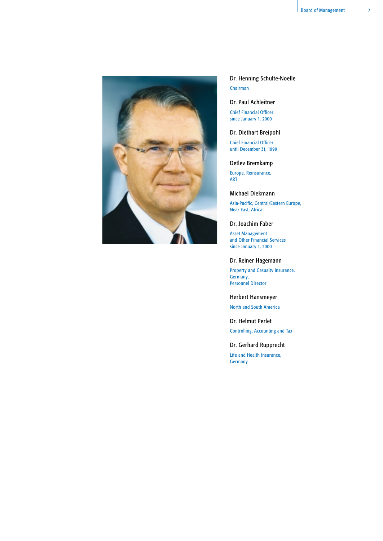

Dr. Henning Schulte-Noelle Chairman

# Dr. Paul Achleitner

Chief Financial Officer since January 1, 2000

Dr. Diethart Breipohl

Chief Financial Officer until December 31, 1999

Detlev Bremkamp

Europe, Reinsurance, ART

Michael Diekmann

Asia-Pacific, Central/Eastern Europe, Near East, Africa

Dr. Joachim Faber

Asset Management and Other Financial Services since January 1, 2000

# Dr. Reiner Hagemann

Property and Casualty Insurance, Germany, Personnel Director

# Herbert Hansmeyer

North and South America

Dr. Helmut Perlet Controlling, Accounting and Tax

# Dr. Gerhard Rupprecht

Life and Health Insurance, **Germany**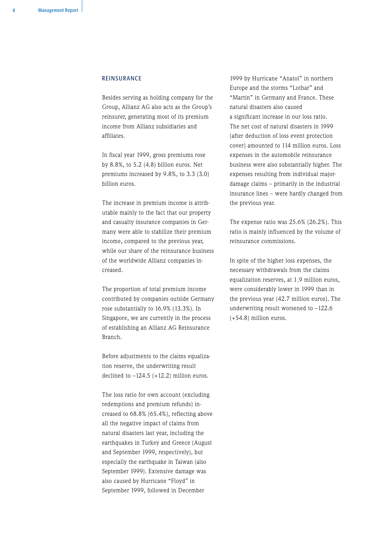## REINSURANCE

Besides serving as holding company for the Group, Allianz AG also acts as the Group's reinsurer, generating most of its premium income from Allianz subsidiaries and affiliates.

In fiscal year 1999, gross premiums rose by 8.8%, to 5.2 (4.8) billion euros. Net premiums increased by 9.8%, to 3.3 (3.0) billion euros.

The increase in premium income is attributable mainly to the fact that our property and casualty insurance companies in Germany were able to stabilize their premium income, compared to the previous year, while our share of the reinsurance business of the worldwide Allianz companies increased.

The proportion of total premium income contributed by companies outside Germany rose substantially to 16.9% (13.3%). In Singapore, we are currently in the process of establishing an Allianz AG Reinsurance Branch.

Before adjustments to the claims equalization reserve, the underwriting result declined to  $-124.5$  (+12.2) million euros.

The loss ratio for own account (excluding redemptions and premium refunds) increased to 68.8% (65.4%), reflecting above all the negative impact of claims from natural disasters last year, including the earthquakes in Turkey and Greece (August and September 1999, respectively), but especially the earthquake in Taiwan (also September 1999). Extensive damage was also caused by Hurricane "Floyd" in September 1999, followed in December

1999 by Hurricane "Anatol" in northern Europe and the storms "Lothar" and "Martin" in Germany and France. These natural disasters also caused a significant increase in our loss ratio. The net cost of natural disasters in 1999 (after deduction of loss event protection cover) amounted to 114 million euros. Loss expenses in the automobile reinsurance business were also substantially higher. The expenses resulting from individual majordamage claims – primarily in the industrial insurance lines – were hardly changed from the previous year.

The expense ratio was 25.6% (26.2%). This ratio is mainly influenced by the volume of reinsurance commissions.

In spite of the higher loss expenses, the necessary withdrawals from the claims equalization reserves, at 1.9 million euros, were considerably lower in 1999 than in the previous year (42.7 million euros). The underwriting result worsened to –122.6 (+54.8) million euros.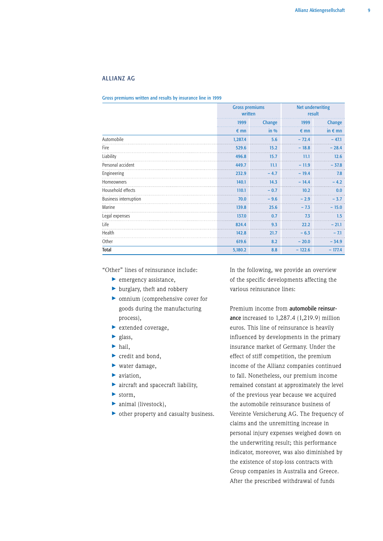# ALLIANZ AG

Gross premiums written and results by insurance line in 1999

|                              |               | <b>Gross premiums</b><br>written |               | <b>Net underwriting</b><br>result |
|------------------------------|---------------|----------------------------------|---------------|-----------------------------------|
|                              | 1999          | Change                           | 1999          | Change                            |
|                              | $\epsilon$ mn | $in\%$                           | $\epsilon$ mn | in $\epsilon$ mn                  |
| Automobile                   | 1,287.4       | 5.6                              | $-72.4$       | $-47.1$                           |
| Fire                         | 529.6         | 15.2                             | $-18.8$       | $-28.4$                           |
| Liability                    | 496.8         | 15.7                             | 11.1          | 12.6                              |
| Personal accident            | 449.7         | 11.1                             | $-11.9$       | $-37.8$                           |
| Engineering                  | 232.9         | $-4.7$                           | $-19.4$       | 7.8                               |
| Homeowners                   | 140.1         | 14.3                             | $-14.4$       | $-4.2$                            |
| Household effects            | 110.1         | $-0.7$                           | 10.2          | 0.0                               |
| <b>Business interruption</b> | 70.0          | $-9.6$                           | $-2.9$        | $-3.7$                            |
| Marine                       | 139.8         | 25.6                             | $-7.3$        | $-15.0$                           |
| Legal expenses               | 137.0         | 0.7                              | 7.3           | 1.5                               |
| Life                         | 824.4         | 9.3                              | 22.2          | $-21.1$                           |
| Health                       | 142.8         | 21.7                             | $-6.3$        | $-7.1$                            |
| Other                        | 619.6         | 8.2                              | $-20.0$       | $-34.9$                           |
| <b>Total</b>                 | 5,180.2       | 8.8                              | $-122.6$      | $-177.4$                          |

"Other" lines of reinsurance include:

- ▶ emergency assistance,
- > burglary, theft and robbery
- > omnium (comprehensive cover for goods during the manufacturing process),
- > extended coverage,
- > glass,
- > hail,
- > credit and bond,
- > water damage,
- aviation,
- > aircraft and spacecraft liability,
- > storm,
- > animal (livestock),
- > other property and casualty business.

In the following, we provide an overview of the specific developments affecting the various reinsurance lines:

Premium income from automobile reinsurance increased to 1,287.4 (1,219.9) million euros. This line of reinsurance is heavily influenced by developments in the primary insurance market of Germany. Under the effect of stiff competition, the premium income of the Allianz companies continued to fall. Nonetheless, our premium income remained constant at approximately the level of the previous year because we acquired the automobile reinsurance business of Vereinte Versicherung AG. The frequency of claims and the unremitting increase in personal injury expenses weighed down on the underwriting result; this performance indicator, moreover, was also diminished by the existence of stop-loss contracts with Group companies in Australia and Greece. After the prescribed withdrawal of funds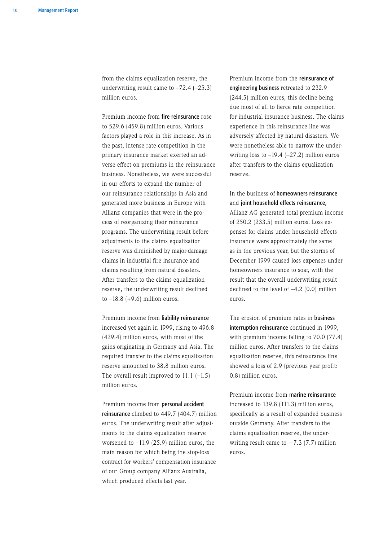from the claims equalization reserve, the underwriting result came to  $-72.4$  ( $-25.3$ ) million euros.

Premium income from fire reinsurance rose to 529.6 (459.8) million euros. Various factors played a role in this increase. As in the past, intense rate competition in the primary insurance market exerted an adverse effect on premiums in the reinsurance business. Nonetheless, we were successful in our efforts to expand the number of our reinsurance relationships in Asia and generated more business in Europe with Allianz companies that were in the process of reorganizing their reinsurance programs. The underwriting result before adjustments to the claims equalization reserve was diminished by major-damage claims in industrial fire insurance and claims resulting from natural disasters. After transfers to the claims equalization reserve, the underwriting result declined to  $-18.8$  (+9.6) million euros.

Premium income from liability reinsurance increased yet again in 1999, rising to 496.8 (429.4) million euros, with most of the gains originating in Germany and Asia. The required transfer to the claims equalization reserve amounted to 38.8 million euros. The overall result improved to  $11.1$   $(-1.5)$ million euros.

Premium income from personal accident reinsurance climbed to 449.7 (404.7) million euros. The underwriting result after adjustments to the claims equalization reserve worsened to  $-11.9$  (25.9) million euros, the main reason for which being the stop-loss contract for workers' compensation insurance of our Group company Allianz Australia, which produced effects last year.

Premium income from the reinsurance of engineering business retreated to 232.9 (244.5) million euros, this decline being due most of all to fierce rate competition for industrial insurance business. The claims experience in this reinsurance line was adversely affected by natural disasters. We were nonetheless able to narrow the underwriting loss to  $-19.4$  ( $-27.2$ ) million euros after transfers to the claims equalization reserve.

In the business of homeowners reinsurance and joint household effects reinsurance, Allianz AG generated total premium income of 250.2 (233.5) million euros. Loss expenses for claims under household effects insurance were approximately the same as in the previous year, but the storms of December 1999 caused loss expenses under homeowners insurance to soar, with the result that the overall underwriting result declined to the level of –4.2 (0.0) million euros.

The erosion of premium rates in business interruption reinsurance continued in 1999, with premium income falling to 70.0 (77.4) million euros. After transfers to the claims equalization reserve, this reinsurance line showed a loss of 2.9 (previous year profit: 0.8) million euros.

Premium income from marine reinsurance increased to 139.8 (111.3) million euros, specifically as a result of expanded business outside Germany. After transfers to the claims equalization reserve, the underwriting result came to  $-7.3$  (7.7) million euros.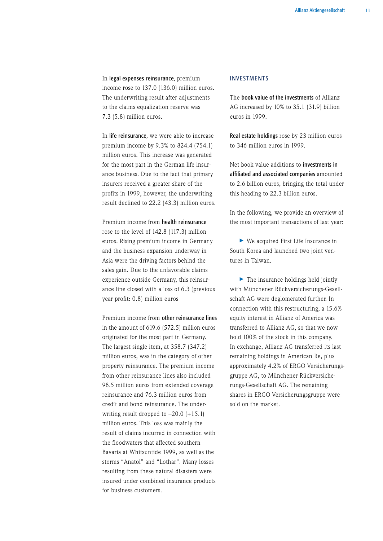In legal expenses reinsurance, premium income rose to 137.0 (136.0) million euros. The underwriting result after adjustments to the claims equalization reserve was 7.3 (5.8) million euros.

In life reinsurance, we were able to increase premium income by 9.3% to 824.4 (754.1) million euros. This increase was generated for the most part in the German life insurance business. Due to the fact that primary insurers received a greater share of the profits in 1999, however, the underwriting result declined to 22.2 (43.3) million euros.

Premium income from health reinsurance rose to the level of 142.8 (117.3) million euros. Rising premium income in Germany and the business expansion underway in Asia were the driving factors behind the sales gain. Due to the unfavorable claims experience outside Germany, this reinsurance line closed with a loss of 6.3 (previous year profit: 0.8) million euros

Premium income from other reinsurance lines in the amount of 619.6 (572.5) million euros originated for the most part in Germany. The largest single item, at 358.7 (347.2) million euros, was in the category of other property reinsurance. The premium income from other reinsurance lines also included 98.5 million euros from extended coverage reinsurance and 76.3 million euros from credit and bond reinsurance. The underwriting result dropped to  $-20.0$  (+15.1) million euros. This loss was mainly the result of claims incurred in connection with the floodwaters that affected southern Bavaria at Whitsuntide 1999, as well as the storms "Anatol" and "Lothar". Many losses resulting from these natural disasters were insured under combined insurance products for business customers.

# INVESTMENTS

The book value of the investments of Allianz AG increased by 10% to 35.1 (31.9) billion euros in 1999.

Real estate holdings rose by 23 million euros to 346 million euros in 1999.

Net book value additions to investments in affiliated and associated companies amounted to 2.6 billion euros, bringing the total under this heading to 22.3 billion euros.

In the following, we provide an overview of the most important transactions of last year:

> We acquired First Life Insurance in South Korea and launched two joint ventures in Taiwan.

▶ The insurance holdings held jointly with Münchener Rückversicherungs-Gesellschaft AG were deglomerated further. In connection with this restructuring, a 15.6% equity interest in Allianz of America was transferred to Allianz AG, so that we now hold 100% of the stock in this company. In exchange, Allianz AG transferred its last remaining holdings in American Re, plus approximately 4.2% of ERGO Versicherungsgruppe AG, to Münchener Rückversicherungs-Gesellschaft AG. The remaining shares in ERGO Versicherungsgruppe were sold on the market.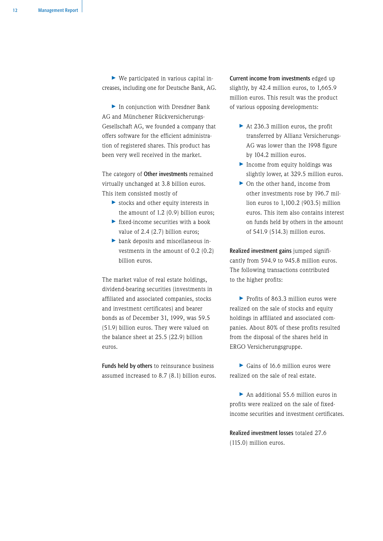> We participated in various capital increases, including one for Deutsche Bank, AG.

> In conjunction with Dresdner Bank AG and Münchener Rückversicherungs-Gesellschaft AG, we founded a company that offers software for the efficient administration of registered shares. This product has been very well received in the market.

The category of Other investments remained virtually unchanged at 3.8 billion euros. This item consisted mostly of

- > stocks and other equity interests in the amount of 1.2 (0.9) billion euros;
- > fixed-income securities with a book value of 2.4 (2.7) billion euros;
- > bank deposits and miscellaneous investments in the amount of 0.2 (0.2) billion euros.

The market value of real estate holdings, dividend-bearing securities (investments in affiliated and associated companies, stocks and investment certificates) and bearer bonds as of December 31, 1999, was 59.5 (51.9) billion euros. They were valued on the balance sheet at 25.5 (22.9) billion euros.

Funds held by others to reinsurance business assumed increased to 8.7 (8.1) billion euros. Current income from investments edged up slightly, by 42.4 million euros, to 1,665.9 million euros. This result was the product of various opposing developments:

- ▶ At 236.3 million euros, the profit transferred by Allianz Versicherungs-AG was lower than the 1998 figure by 104.2 million euros.
- > Income from equity holdings was slightly lower, at 329.5 million euros.
- > On the other hand, income from other investments rose by 196.7 million euros to 1,100.2 (903.5) million euros. This item also contains interest on funds held by others in the amount of 541.9 (514.3) million euros.

Realized investment gains jumped significantly from 594.9 to 945.8 million euros. The following transactions contributed to the higher profits:

> Profits of 863.3 million euros were realized on the sale of stocks and equity holdings in affiliated and associated companies. About 80% of these profits resulted from the disposal of the shares held in ERGO Versicherungsgruppe.

> Gains of 16.6 million euros were realized on the sale of real estate.

> An additional 55.6 million euros in profits were realized on the sale of fixedincome securities and investment certificates.

Realized investment losses totaled 27.6 (115.0) million euros.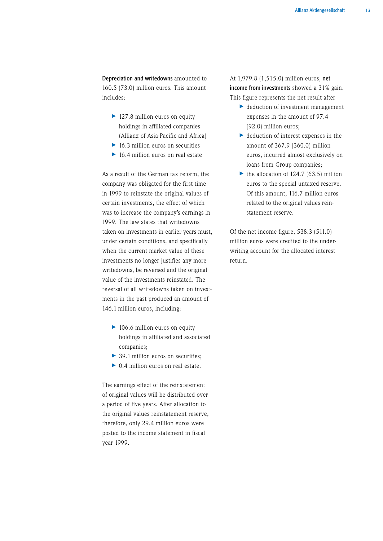Depreciation and writedowns amounted to 160.5 (73.0) million euros. This amount includes:

- ▶ 127.8 million euros on equity holdings in affiliated companies (Allianz of Asia-Pacific and Africa)
- ▶ 16.3 million euros on securities
- ▶ 16.4 million euros on real estate

As a result of the German tax reform, the company was obligated for the first time in 1999 to reinstate the original values of certain investments, the effect of which was to increase the company's earnings in 1999. The law states that writedowns taken on investments in earlier years must, under certain conditions, and specifically when the current market value of these investments no longer justifies any more writedowns, be reversed and the original value of the investments reinstated. The reversal of all writedowns taken on investments in the past produced an amount of 146.1 million euros, including:

- ▶ 106.6 million euros on equity holdings in affiliated and associated companies;
- ▶ 39.1 million euros on securities;
- ▶ 0.4 million euros on real estate.

The earnings effect of the reinstatement of original values will be distributed over a period of five years. After allocation to the original values reinstatement reserve, therefore, only 29.4 million euros were posted to the income statement in fiscal year 1999.

At 1,979.8 (1,515.0) million euros, net income from investments showed a 31% gain. This figure represents the net result after

- > deduction of investment management expenses in the amount of 97.4 (92.0) million euros;
- > deduction of interest expenses in the amount of 367.9 (360.0) million euros, incurred almost exclusively on loans from Group companies;
- $\blacktriangleright$  the allocation of 124.7 (63.5) million euros to the special untaxed reserve. Of this amount, 116.7 million euros related to the original values reinstatement reserve.

Of the net income figure, 538.3 (511.0) million euros were credited to the underwriting account for the allocated interest return.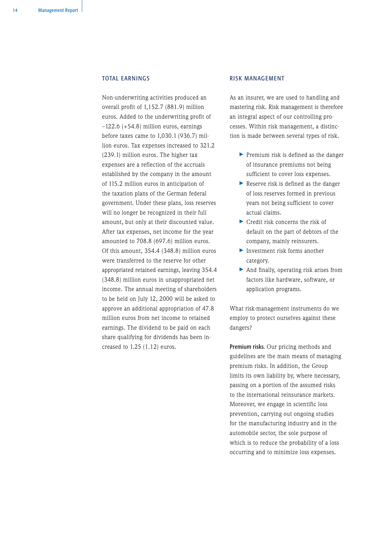# TOTAL EARNINGS

Non-underwriting activities produced an overall profit of 1,152.7 (881.9) million euros. Added to the underwriting profit of –122.6 (+54.8) million euros, earnings before taxes came to 1,030.1 (936.7) million euros. Tax expenses increased to 321.2 (239.1) million euros. The higher tax expenses are a reflection of the accruals established by the company in the amount of 115.2 million euros in anticipation of the taxation plans of the German federal government. Under these plans, loss reserves will no longer be recognized in their full amount, but only at their discounted value. After tax expenses, net income for the year amounted to 708.8 (697.6) million euros. Of this amount, 354.4 (348.8) million euros were transferred to the reserve for other appropriated retained earnings, leaving 354.4 (348.8) million euros in unappropriated net income. The annual meeting of shareholders to be held on July 12, 2000 will be asked to approve an additional appropriation of 47.8 million euros from net income to retained earnings. The dividend to be paid on each share qualifying for dividends has been increased to 1.25 (1.12) euros.

## RISK MANAGEMENT

As an insurer, we are used to handling and mastering risk. Risk management is therefore an integral aspect of our controlling processes. Within risk management, a distinction is made between several types of risk.

- > Premium risk is defined as the danger of insurance premiums not being sufficient to cover loss expenses.
- > Reserve risk is defined as the danger of loss reserves formed in previous years not being sufficient to cover actual claims.
- ▶ Credit risk concerns the risk of default on the part of debtors of the company, mainly reinsurers.
- > Investment risk forms another category.
- > And finally, operating risk arises from factors like hardware, software, or application programs.

What risk-management instruments do we employ to protect ourselves against these dangers?

Premium risks. Our pricing methods and guidelines are the main means of managing premium risks. In addition, the Group limits its own liability by, where necessary, passing on a portion of the assumed risks to the international reinsurance markets. Moreover, we engage in scientific loss prevention, carrying out ongoing studies for the manufacturing industry and in the automobile sector, the sole purpose of which is to reduce the probability of a loss occurring and to minimize loss expenses.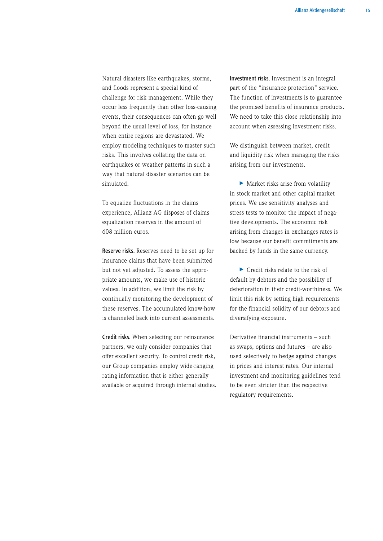Natural disasters like earthquakes, storms, and floods represent a special kind of challenge for risk management. While they occur less frequently than other loss-causing events, their consequences can often go well beyond the usual level of loss, for instance when entire regions are devastated. We employ modeling techniques to master such risks. This involves collating the data on earthquakes or weather patterns in such a way that natural disaster scenarios can be simulated.

To equalize fluctuations in the claims experience, Allianz AG disposes of claims equalization reserves in the amount of 608 million euros.

Reserve risks. Reserves need to be set up for insurance claims that have been submitted but not yet adjusted. To assess the appropriate amounts, we make use of historic values. In addition, we limit the risk by continually monitoring the development of these reserves. The accumulated know-how is channeled back into current assessments.

Credit risks. When selecting our reinsurance partners, we only consider companies that offer excellent security. To control credit risk, our Group companies employ wide-ranging rating information that is either generally available or acquired through internal studies. Investment risks. Investment is an integral part of the "insurance protection" service. The function of investments is to guarantee the promised benefits of insurance products. We need to take this close relationship into account when assessing investment risks.

We distinguish between market, credit and liquidity risk when managing the risks arising from our investments.

> Market risks arise from volatility in stock market and other capital market prices. We use sensitivity analyses and stress tests to monitor the impact of negative developments. The economic risk arising from changes in exchanges rates is low because our benefit commitments are backed by funds in the same currency.

> Credit risks relate to the risk of default by debtors and the possibility of deterioration in their credit-worthiness. We limit this risk by setting high requirements for the financial solidity of our debtors and diversifying exposure.

Derivative financial instruments – such as swaps, options and futures – are also used selectively to hedge against changes in prices and interest rates. Our internal investment and monitoring guidelines tend to be even stricter than the respective regulatory requirements.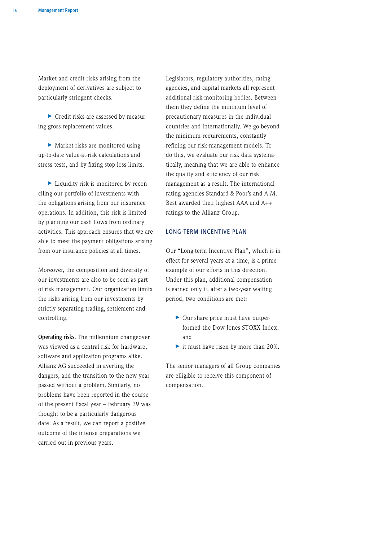Market and credit risks arising from the deployment of derivatives are subject to particularly stringent checks.

> Credit risks are assessed by measuring gross replacement values.

> Market risks are monitored using up-to-date value-at-risk calculations and stress tests, and by fixing stop-loss limits.

> Liquidity risk is monitored by reconciling our portfolio of investments with the obligations arising from our insurance operations. In addition, this risk is limited by planning our cash flows from ordinary activities. This approach ensures that we are able to meet the payment obligations arising from our insurance policies at all times.

Moreover, the composition and diversity of our investments are also to be seen as part of risk management. Our organization limits the risks arising from our investments by strictly separating trading, settlement and controlling.

Operating risks. The millennium changeover was viewed as a central risk for hardware, software and application programs alike. Allianz AG succeeded in averting the dangers, and the transition to the new year passed without a problem. Similarly, no problems have been reported in the course of the present fiscal year – February 29 was thought to be a particularly dangerous date. As a result, we can report a positive outcome of the intense preparations we carried out in previous years.

Legislators, regulatory authorities, rating agencies, and capital markets all represent additional risk-monitoring bodies. Between them they define the minimum level of precautionary measures in the individual countries and internationally. We go beyond the minimum requirements, constantly refining our risk-management models. To do this, we evaluate our risk data systematically, meaning that we are able to enhance the quality and efficiency of our risk management as a result. The international rating agencies Standard & Poor's and A.M. Best awarded their highest AAA and A++ ratings to the Allianz Group.

# LONG-TERM INCENTIVE PLAN

Our "Long-term Incentive Plan", which is in effect for several years at a time, is a prime example of our efforts in this direction. Under this plan, additional compensation is earned only if, after a two-year waiting period, two conditions are met:

- > Our share price must have outperformed the Dow Jones STOXX Index, and
- > it must have risen by more than 20%.

The senior managers of all Group companies are elligible to receive this component of compensation.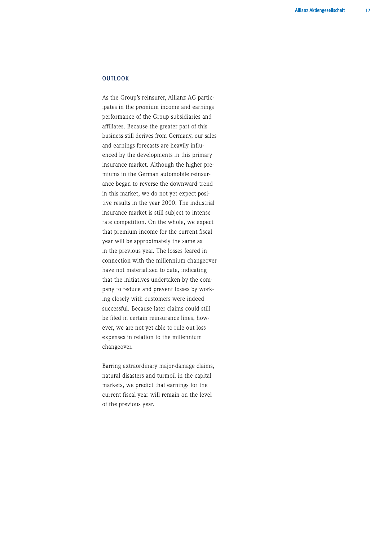# **OUTLOOK**

As the Group's reinsurer, Allianz AG participates in the premium income and earnings performance of the Group subsidiaries and affiliates. Because the greater part of this business still derives from Germany, our sales and earnings forecasts are heavily influenced by the developments in this primary insurance market. Although the higher premiums in the German automobile reinsurance began to reverse the downward trend in this market, we do not yet expect positive results in the year 2000. The industrial insurance market is still subject to intense rate competition. On the whole, we expect that premium income for the current fiscal year will be approximately the same as in the previous year. The losses feared in connection with the millennium changeover have not materialized to date, indicating that the initiatives undertaken by the company to reduce and prevent losses by working closely with customers were indeed successful. Because later claims could still be filed in certain reinsurance lines, however, we are not yet able to rule out loss expenses in relation to the millennium changeover.

Barring extraordinary major-damage claims, natural disasters and turmoil in the capital markets, we predict that earnings for the current fiscal year will remain on the level of the previous year.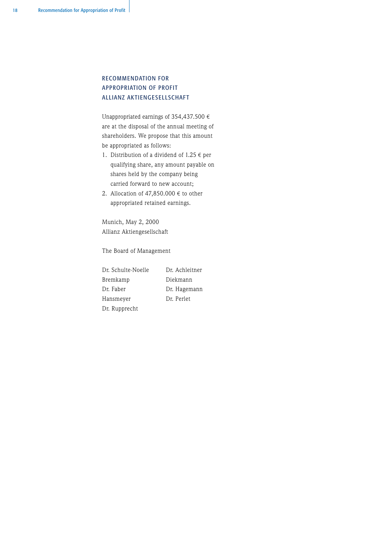# RECOMMENDATION FOR APPROPRIATION OF PROFIT ALLIANZ AKTIENGESELLSCHAFT

Unappropriated earnings of 354,437.500  $\epsilon$ are at the disposal of the annual meeting of shareholders. We propose that this amount be appropriated as follows:

- 1. Distribution of a dividend of  $1.25 \in$  per qualifying share, any amount payable on shares held by the company being carried forward to new account;
- 2. Allocation of 47,850,000  $\epsilon$  to other appropriated retained earnings.

Munich, May 2, 2000 Allianz Aktiengesellschaft

The Board of Management

Dr. Schulte-Noelle Dr. Achleitner Bremkamp Diekmann Dr. Faber Dr. Hagemann Hansmeyer Dr. Perlet Dr. Rupprecht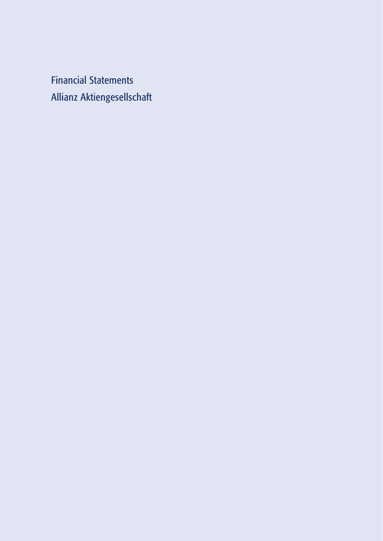Financial Statements Allianz Aktiengesellschaft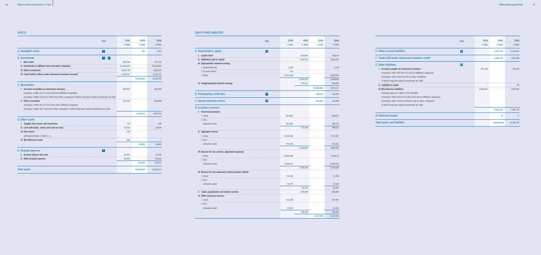# ASSETS

| Note                                                                                                 | 1999            | 1999            | 1998            |
|------------------------------------------------------------------------------------------------------|-----------------|-----------------|-----------------|
|                                                                                                      | $\epsilon$ 000s | $\epsilon$ 000s | $\epsilon$ 000s |
| A. Intangible assets<br>  1                                                                          |                 | 821             | 2 0 5 5         |
| <b>B.</b> Investments<br>$ 1  =  4 $                                                                 |                 |                 |                 |
| I. Real estate                                                                                       | 345,526         |                 | 322,744         |
| II. Investments in affiliated and associated companies                                               | 22,268,051      |                 | 19,652,862      |
| <b>III. Other investments</b>                                                                        | 3,805,316       |                 | 3,816,590       |
| IV. Funds held by others under reinsurance business assumed                                          | 8,709,931       |                 | 8,134,722       |
|                                                                                                      |                 | 35,128,824      | 31,926,918      |
| C. Receivables                                                                                       |                 |                 |                 |
| I. Accounts receivable on reinsurance business                                                       | 430,905         |                 | 355,208         |
| including $\epsilon$ 000s 124,713 (55,228) from affiliated companies                                 |                 |                 |                 |
| including € 000s 234,320 (1,309) from other companies in which long-term equity investments are held |                 |                 |                 |
| II. Other receivables                                                                                | 914,747         |                 | 694,498         |
| including $\epsilon$ 000s 841,722 (673,924) from affiliated companies                                |                 |                 |                 |
| including € 000s 303 (156) from other companies in which long-term equity investments are held       |                 |                 |                 |
|                                                                                                      |                 | 1,345,652       | 1,049,706       |
| D. Other assets                                                                                      |                 |                 |                 |
| I. Tangible fixed assets and inventories                                                             | 217             |                 | 246             |
| II. Cash with banks, checks and cash on hand                                                         | 63,102          |                 | 29,840          |
| III. Own shares                                                                                      | 237             |                 |                 |
| arithmetical value: € 000s 2 (-)                                                                     |                 |                 |                 |
| IV. Miscellaneous assets                                                                             | 449             |                 |                 |
|                                                                                                      |                 | 64,005          | 30,086          |
| E. Prepaid expenses<br>5                                                                             |                 |                 |                 |
| I. Accrued interest and rents                                                                        | 55,631          |                 | 57,706          |
| II. Other prepaid expenses                                                                           | 99,943          |                 | 118,826         |
|                                                                                                      |                 | 155,574         | 176,532         |
| <b>Total assets</b>                                                                                  |                 | 36,694,876      | 33,185,297      |

# EQUITY AND LIABILITIES

| Note           | 1999            | 1999            | 1999            | 1998               |
|----------------|-----------------|-----------------|-----------------|--------------------|
|                | $\epsilon$ 000s | $\epsilon$ 000s | $\epsilon$ 000s | $\epsilon$ 000s    |
| 6 <sup>1</sup> |                 |                 |                 |                    |
|                |                 | 627,891         |                 | 626,113            |
|                |                 | 7,182,716       |                 | 7,094,520          |
|                |                 |                 |                 |                    |
|                | 1,229           |                 |                 | 1,229              |
|                | 237             |                 |                 |                    |
|                | 2,473,556       |                 |                 | 2,046,940          |
|                |                 | 2,475,022       |                 | 2,048,169          |
|                |                 | 354,437         |                 | 348,809            |
|                |                 |                 | 10,640,066      | 10,117,611         |
| 7              |                 |                 | 449,519         | 449,519            |
| 8              |                 |                 | 251,349         | 126,656            |
|                |                 |                 |                 |                    |
|                | 825,901         |                 |                 | 780,043            |
|                |                 |                 |                 |                    |
|                | 293,801         | 532,100         |                 | 280,732<br>499,311 |
|                |                 |                 |                 |                    |
|                | 8,303,183       |                 |                 | 7,751,993          |
|                |                 |                 |                 |                    |
|                | 979,120         |                 |                 | 933,432            |
|                |                 | 7,324,063       |                 | 6,818,561          |
|                |                 |                 |                 |                    |
|                | 5,924,568       |                 |                 | 5,456,113          |
|                | 2,506,071       |                 |                 | 2,205,545          |
|                |                 | 3,418,497       |                 | 3,250,568          |
|                |                 |                 |                 |                    |
|                | 115,228         |                 |                 | 111,100            |
|                | 49,773          |                 |                 | 47,679             |
|                |                 | 65,455          |                 | 63,421             |
|                |                 | 607,500         |                 | 609,395            |
|                |                 |                 |                 |                    |
|                | 214,246         |                 |                 | 207,495            |
|                | 23,951          |                 |                 | 23,452             |
|                |                 | 190,295         |                 | 184,043            |
|                |                 |                 | 12,137,910      | 11,425,299         |
|                |                 |                 |                 |                    |

|                                                      | <b>Note</b> | 1999            | 1999            | 1999            | 1998            |
|------------------------------------------------------|-------------|-----------------|-----------------|-----------------|-----------------|
|                                                      |             | $\epsilon$ 000s | $\epsilon$ 000s | $\epsilon$ 000s | $\epsilon$ 000s |
| A. Shareholders' equity                              | 6           |                 |                 |                 |                 |
| I. Capital stock                                     |             |                 | 627,891         |                 | 626,113         |
| II. Additional paid-in capital                       |             |                 | 7,182,716       |                 | 7,094,520       |
| III. Appropriated retained earnings                  |             |                 |                 |                 |                 |
| 1. required by law                                   |             | 1,229           |                 |                 | 1,229           |
| 2. for own shares                                    |             | 237             |                 |                 |                 |
| 3. other                                             |             | 2,473,556       |                 |                 | 2,046,940       |
|                                                      |             |                 | 2,475,022       |                 | 2,048,169       |
| IV. Unappropriated retained earnings                 |             |                 | 354,437         |                 | 348,809         |
|                                                      |             |                 |                 | 10,640,066      | 10,117,611      |
| <b>B. Participating certificates</b>                 | 7           |                 |                 | 449,519         | 449,519         |
| <b>C. Special untaxed reserve</b>                    | 8           |                 |                 | 251,349         | 126,656         |
| <b>D. Insurance reserves</b>                         |             |                 |                 |                 |                 |
| I. Unearned premiums                                 |             |                 |                 |                 |                 |
| 1. Gross                                             |             | 825,901         |                 |                 | 780,043         |
| 2. less:                                             |             |                 |                 |                 |                 |
| amounts ceded                                        |             | 293,801         |                 |                 | 280,732         |
|                                                      |             |                 | 532,100         |                 | 499,311         |
| II. Aggregate reserve                                |             |                 |                 |                 |                 |
| 1. Gross                                             |             | 8,303,183       |                 |                 | 7,751,993       |
| 2. less:                                             |             |                 |                 |                 |                 |
| amounts ceded                                        |             | 979,120         |                 |                 | 933,432         |
|                                                      |             |                 | 7,324,063       |                 | 6,818,561       |
| III. Reserve for loss and loss adjustment expenses   |             |                 |                 |                 |                 |
| 1. Gross                                             |             | 5,924,568       |                 |                 | 5,456,113       |
| 2. less:                                             |             |                 |                 |                 |                 |
| amounts ceded                                        |             | 2,506,071       |                 |                 | 2,205,545       |
|                                                      |             |                 | 3,418,497       |                 | 3,250,568       |
| IV. Reserve for non-experience-rated premium refunds |             |                 |                 |                 |                 |
| 1. Gross                                             |             | 115,228         |                 |                 | 111,100         |
| 2. less:                                             |             |                 |                 |                 |                 |
| amounts ceded                                        |             | 49,773          |                 |                 | 47,679          |
|                                                      |             |                 | 65,455          |                 | 63,421          |
| V. Claims equalization and similar reserves          |             |                 | 607,500         |                 | 609,395         |
| VI. Other insurance reserves                         |             |                 |                 |                 |                 |
| 1. Gross                                             |             | 214,246         |                 |                 | 207,495         |
| 2. less:                                             |             |                 |                 |                 |                 |
| amounts ceded                                        |             | 23,951          |                 |                 | 23,452          |

|                                                                             | <b>Note</b> | 1999      | 1999            | 1998            |
|-----------------------------------------------------------------------------|-------------|-----------|-----------------|-----------------|
|                                                                             |             | € 000s    | $\epsilon$ 000s | $\epsilon$ 000s |
| E. Other accrued liabilities                                                | 9           |           | 2,657,519       | 2,540,987       |
| F. Funds held under reinsurance business ceded                              |             |           | 1,095,255       | 1,042,438       |
| <b>G. Other liabilities</b>                                                 | 10          |           |                 |                 |
| I. Accounts payable on reinsurance business                                 |             | 457,100   |                 | 412,232         |
| including $\epsilon$ 000s 405,468 (377,422) to affiliated companies         |             |           |                 |                 |
| including $\epsilon$ 000s 6,026 (6,976) to other companies                  |             |           |                 |                 |
| in which long-term equity investments are held                              |             |           |                 |                 |
| II. Liabilities to banks                                                    |             |           |                 | 46              |
| <b>III. Miscellaneous liabilities</b>                                       |             | 9,006,141 |                 | 7,070,492       |
| including taxes of $\in$ 000s 61,749 (38,880)                               |             |           |                 |                 |
| including $\epsilon$ 000s 8,616,523 (6,839,634) due to affiliated companies |             |           |                 |                 |
| including $\epsilon$ 000s 167,954 (100,841) due to other companies          |             |           |                 |                 |
| in which long-term equity investments are held                              |             |           |                 |                 |
|                                                                             |             |           | 9,463,241       | 7,482,770       |
| H. Deferred income                                                          |             |           | 17              | 17              |
| <b>Total equity and liabilities</b>                                         |             |           | 36,694,876      | 33,185,297      |
|                                                                             |             |           |                 |                 |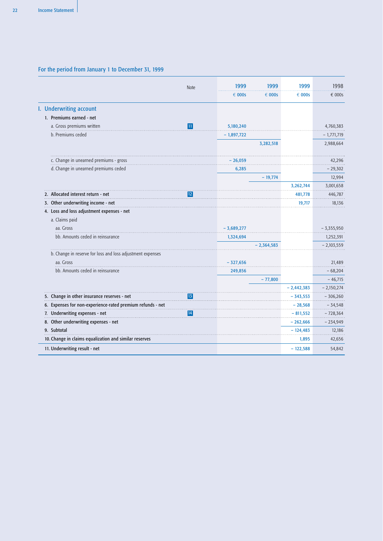# For the period from January 1 to December 31, 1999

|                                                            | <b>Note</b> | 1999         | 1999            | 1999            | 1998            |
|------------------------------------------------------------|-------------|--------------|-----------------|-----------------|-----------------|
|                                                            |             | € 000s       | $\epsilon$ 000s | $\epsilon$ 000s | $\epsilon$ 000s |
| I. Underwriting account                                    |             |              |                 |                 |                 |
| 1. Premiums earned - net                                   |             |              |                 |                 |                 |
| a. Gross premiums written                                  | 11          | 5,180,240    |                 |                 | 4,760,383       |
| b. Premiums ceded                                          |             | - 1,897,722  |                 |                 | - 1,771,719     |
|                                                            |             |              | 3,282,518       |                 | 2,988,664       |
| c. Change in unearned premiums - gross                     |             | – 26,059     |                 |                 | 42,296          |
| d. Change in unearned premiums ceded                       |             | 6,285        |                 |                 | $-29,302$       |
|                                                            |             |              | $-19,774$       |                 | 12,994          |
|                                                            |             |              |                 | 3,262,744       | 3,001,658       |
| 2. Allocated interest return - net                         | 12          |              |                 | 481,778         | 446,787         |
| 3. Other underwriting income - net                         |             |              |                 | 19,717          | 18,136          |
| 4. Loss and loss adjustment expenses - net                 |             |              |                 |                 |                 |
| a. Claims paid                                             |             |              |                 |                 |                 |
| aa. Gross                                                  |             | $-3,689,277$ |                 |                 | $-3,355,950$    |
| bb. Amounts ceded in reinsurance                           |             | 1,324,694    |                 |                 | 1,252,391       |
|                                                            |             |              | $-2.364.583$    |                 | – 2,103,559     |
| b. Change in reserve for loss and loss adjustment expenses |             |              |                 |                 |                 |
| aa. Gross                                                  |             | $-327,656$   |                 |                 | 21,489          |
| bb. Amounts ceded in reinsurance                           |             | 249,856      |                 |                 | $-68,204$       |
|                                                            |             |              | $-77,800$       |                 | $-46,715$       |
|                                                            |             |              |                 | $-2,442,383$    | $-2,150,274$    |
| 5. Change in other insurance reserves - net                | 13          |              |                 | - 343,553       | - 306,260       |
| 6. Expenses for non-experience-rated premium refunds - net |             |              |                 | $-28,568$       | - 34,548        |
| 7. Underwriting expenses - net                             | 14          |              |                 | $-811,552$      | $-728,364$      |
| 8. Other underwriting expenses - net                       |             |              |                 | $-262,666$      | $-234,949$      |
| 9. Subtotal                                                |             |              |                 | $-124,483$      | 12,186          |
| 10. Change in claims equalization and similar reserves     |             |              |                 | 1,895           | 42,656          |
| 11. Underwriting result - net                              |             |              |                 | $-122,588$      | 54,842          |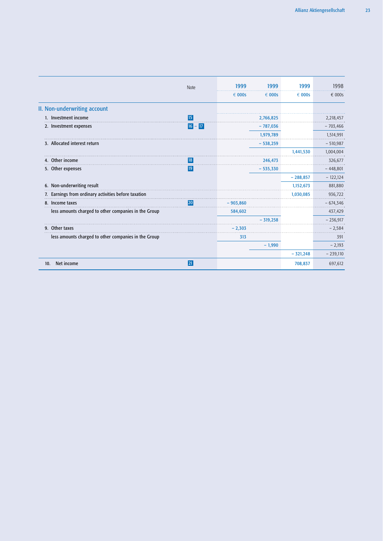|                                                      | <b>Note</b> | 1999            | 1999            | 1999            | 1998       |
|------------------------------------------------------|-------------|-----------------|-----------------|-----------------|------------|
|                                                      |             | $\epsilon$ 000s | $\epsilon$ 000s | $\epsilon$ 000s | € 000s     |
| II. Non-underwriting account                         |             |                 |                 |                 |            |
| 1. Investment income                                 | <b>15</b>   |                 | 2,766,825       |                 | 2,218,457  |
| 2. Investment expenses                               | $16 - 17$   |                 | $-787,036$      |                 | $-703,466$ |
|                                                      |             |                 | 1,979,789       |                 | 1,514,991  |
| 3. Allocated interest return                         |             |                 | $-538,259$      |                 | $-510,987$ |
|                                                      |             |                 |                 | 1,441,530       | 1,004,004  |
| 4. Other income                                      | 18          |                 | 246,473         |                 | 326,677    |
| 5. Other expenses                                    | 19          |                 | $-535,330$      |                 | $-448,801$ |
|                                                      |             |                 |                 | $-288,857$      | $-122,124$ |
| 6. Non-underwriting result                           |             |                 |                 | 1,152,673       | 881,880    |
| 7. Earnings from ordinary activities before taxation |             |                 |                 | 1,030,085       | 936,722    |
| 8. Income taxes                                      | 1201        | $-903,860$      |                 |                 | $-674,346$ |
| less amounts charged to other companies in the Group |             | 584,602         |                 |                 | 437,429    |
|                                                      |             |                 | $-319,258$      |                 | $-236,917$ |
| 9. Other taxes                                       |             | $-2.303$        |                 |                 | $-2,584$   |
| less amounts charged to other companies in the Group |             | 313             |                 |                 | 391        |
|                                                      |             |                 | $-1,990$        |                 | $-2,193$   |
|                                                      |             |                 |                 | $-321,248$      | $-239,110$ |
| Net income<br>10.                                    | 21          |                 |                 | 708,837         | 697,612    |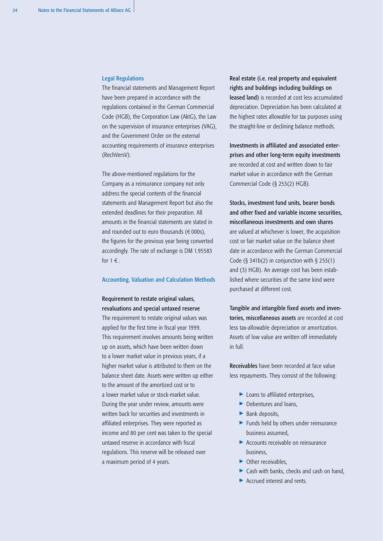### Legal Regulations

The financial statements and Management Report have been prepared in accordance with the regulations contained in the German Commercial Code (HGB), the Corporation Law (AktG), the Law on the supervision of insurance enterprises (VAG), and the Government Order on the external accounting requirements of insurance enterprises (RechVersV).

The above-mentioned regulations for the Company as a reinsurance company not only address the special contents of the financial statements and Management Report but also the extended deadlines for their preparation. All amounts in the financial statements are stated in and rounded out to euro thousands  $(\epsilon 000s)$ , the figures for the previous year being converted accordingly. The rate of exchange is DM 1.95583 for  $1 \in$ .

# Accounting, Valuation and Calculation Methods

# Requirement to restate original values, revaluations and special untaxed reserve

The requirement to restate original values was applied for the first time in fiscal year 1999. This requirement involves amounts being written up on assets, which have been written down to a lower market value in previous years, if a higher market value is attributed to them on the balance sheet date. Assets were written up either to the amount of the amortized cost or to a lower market value or stock-market value. During the year under review, amounts were written back for securities and investments in affiliated enterprises. They were reported as income and 80 per cent was taken to the special untaxed reserve in accordance with fiscal regulations. This reserve will be released over a maximum period of 4 years.

Real estate (i.e. real property and equivalent rights and buildings including buildings on leased land) is recorded at cost less accumulated depreciation. Depreciation has been calculated at the highest rates allowable for tax purposes using the straight-line or declining balance methods.

Investments in affiliated and associated enterprises and other long-term equity investments are recorded at cost and written down to fair market value in accordance with the German Commercial Code (§ 253(2) HGB).

Stocks, investment fund units, bearer bonds and other fixed and variable income securities, miscellaneous investments and own shares are valued at whichever is lower, the acquisition cost or fair market value on the balance sheet date in accordance with the German Commercial Code (§ 341b(2) in conjunction with § 253(1) and (3) HGB). An average cost has been established where securities of the same kind were purchased at different cost.

Tangible and intangible fixed assets and inventories, miscellaneous assets are recorded at cost less tax-allowable depreciation or amortization. Assets of low value are written off immediately in full.

Receivables have been recorded at face value less repayments. They consist of the following:

- ▶ Loans to affiliated enterprises,
- > Debentures and loans,
- > Bank deposits,
- > Funds held by others under reinsurance business assumed,
- > Accounts receivable on reinsurance business,
- ▶ Other receivables,
- > Cash with banks, checks and cash on hand,
- > Accrued interest and rents.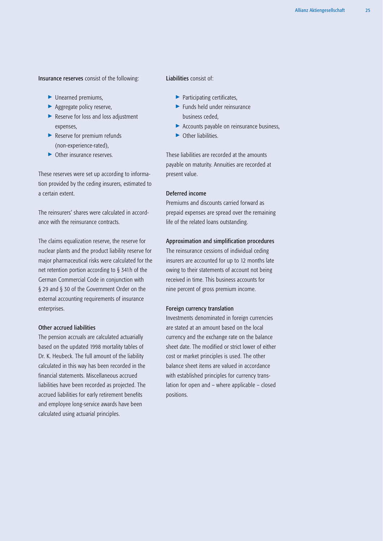# Insurance reserves consist of the following:

- > Unearned premiums,
- ▶ Aggregate policy reserve,
- ▶ Reserve for loss and loss adjustment expenses,
- ▶ Reserve for premium refunds (non-experience-rated),
- ▶ Other insurance reserves.

These reserves were set up according to information provided by the ceding insurers, estimated to a certain extent.

The reinsurers' shares were calculated in accordance with the reinsurance contracts.

The claims equalization reserve, the reserve for nuclear plants and the product liability reserve for major pharmaceutical risks were calculated for the net retention portion according to § 341h of the German Commercial Code in conjunction with § 29 and § 30 of the Government Order on the external accounting requirements of insurance enterprises.

# Other accrued liabilities

The pension accruals are calculated actuarially based on the updated 1998 mortality tables of Dr. K. Heubeck. The full amount of the liability calculated in this way has been recorded in the financial statements. Miscellaneous accrued liabilities have been recorded as projected. The accrued liabilities for early retirement benefits and employee long-service awards have been calculated using actuarial principles.

Liabilities consist of:

- > Participating certificates,
- > Funds held under reinsurance business ceded,
- ▶ Accounts payable on reinsurance business,
- ▶ Other liabilities.

These liabilities are recorded at the amounts payable on maturity. Annuities are recorded at present value.

# Deferred income

Premiums and discounts carried forward as prepaid expenses are spread over the remaining life of the related loans outstanding.

# Approximation and simplification procedures

The reinsurance cessions of individual ceding insurers are accounted for up to 12 months late owing to their statements of account not being received in time. This business accounts for nine percent of gross premium income.

# Foreign currency translation

Investments denominated in foreign currencies are stated at an amount based on the local currency and the exchange rate on the balance sheet date. The modified or strict lower of either cost or market principles is used. The other balance sheet items are valued in accordance with established principles for currency translation for open and – where applicable – closed positions.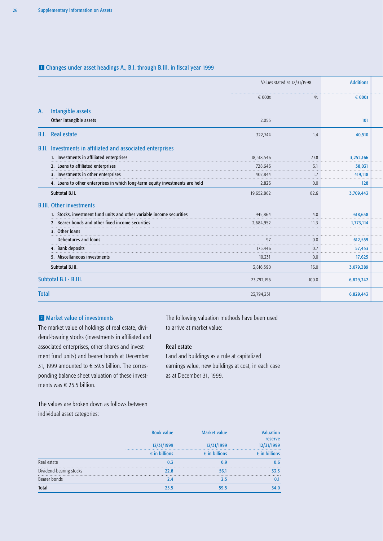# **L** Changes under asset headings A., B.I. through B.III. in fiscal year 1999

|              |                                                                              |                 | Values stated at 12/31/1998 |                 |  |
|--------------|------------------------------------------------------------------------------|-----------------|-----------------------------|-----------------|--|
|              |                                                                              | $\epsilon$ 000s | $\frac{0}{0}$               | $\epsilon$ 000s |  |
| A.           | Intangible assets                                                            |                 |                             |                 |  |
|              | Other intangible assets                                                      | 2,055           |                             | 101             |  |
| B.I.         | <b>Real estate</b>                                                           | 322,744         | 1.4                         | 40,510          |  |
|              | B.II. Investments in affiliated and associated enterprises                   |                 |                             |                 |  |
|              | 1. Investments in affiliated enterprises                                     | 18,518,546      | 77.8                        | 3,252,166       |  |
|              | 2. Loans to affiliated enterprises                                           | 728,646         | 3.1                         | 38,031          |  |
|              | 3. Investments in other enterprises                                          | 402,844         | 1.7                         | 419,118         |  |
|              | 4. Loans to other enterprises in which long-term equity investments are held | 2,826           | 0.0                         | 128             |  |
|              | Subtotal B.II.                                                               | 19,652,862      | 82.6                        | 3,709,443       |  |
|              | <b>B.III. Other investments</b>                                              |                 |                             |                 |  |
|              | 1. Stocks, investment fund units and other variable income securities        | 945,864         | 4.0                         | 618,638         |  |
|              | 2. Bearer bonds and other fixed income securities                            | 2,684,952       | 11.3                        | 1,773,114       |  |
|              | 3. Other loans                                                               |                 |                             |                 |  |
|              | Debentures and loans                                                         | 97              | 0.0                         | 612,559         |  |
|              | 4. Bank deposits                                                             | 175,446         | 0.7                         | 57,453          |  |
|              | 5. Miscellaneous investments                                                 | 10,231          | 0.0                         | 17,625          |  |
|              | Subtotal B.III.                                                              | 3,816,590       | 16.0                        | 3,079,389       |  |
|              | Subtotal B.I - B.III.                                                        | 23,792,196      | 100.0                       | 6,829,342       |  |
| <b>Total</b> |                                                                              | 23,794,251      |                             | 6,829,443       |  |

# Market value of investments 2

The market value of holdings of real estate, dividend-bearing stocks (investments in affiliated and associated enterprises, other shares and investment fund units) and bearer bonds at December 31, 1999 amounted to  $\epsilon$  59.5 billion. The corresponding balance sheet valuation of these investments was  $\in$  25.5 billion.

The following valuation methods have been used to arrive at market value:

# Real estate

Land and buildings as a rule at capitalized earnings value, new buildings at cost, in each case as at December 31, 1999.

The values are broken down as follows between individual asset categories:

|                         | <b>Book value</b>      | <b>Market value</b>    | Valuation              |
|-------------------------|------------------------|------------------------|------------------------|
|                         | 12/31/1999             | 12/31/1999             | reserve<br>12/31/1999  |
|                         | $\epsilon$ in billions | $\epsilon$ in billions | $\epsilon$ in billions |
| Real estate             | 0.3                    | 0.9                    | 0.6                    |
| Dividend-bearing stocks | 22.8                   | 56.1                   | 33.3                   |
| Bearer bonds            | 2.4                    | 2.5                    | 0.1                    |
| <b>Total</b>            | 25.5                   | 59.5                   | 34.0                   |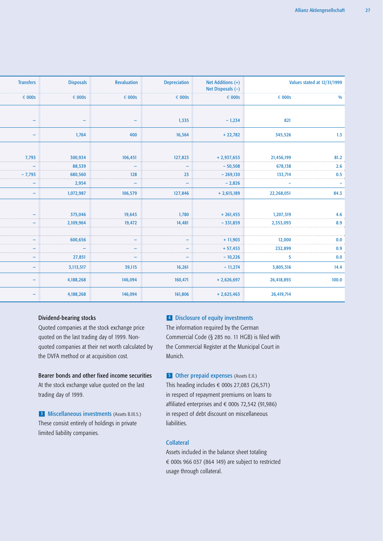| <b>Transfers</b>         | <b>Disposals</b> | <b>Revaluation</b>       | <b>Depreciation</b> | Net Additions (+)<br>Net Disposals $(-)$ |                 | Values stated at 12/31/1999 |
|--------------------------|------------------|--------------------------|---------------------|------------------------------------------|-----------------|-----------------------------|
| $\epsilon$ 000s          | $\epsilon$ 000s  | $\epsilon$ 000s          | $\epsilon$ 000s     | $\epsilon$ 000s                          | $\epsilon$ 000s | $\frac{0}{0}$               |
|                          |                  |                          |                     |                                          |                 |                             |
| $\overline{\phantom{0}}$ | -                | $\overline{\phantom{0}}$ | 1,335               | $-1,234$                                 | 821             |                             |
|                          | 1,764            | 400                      | 16,364              | $+22,782$                                | 345,526         | 1.3                         |
|                          |                  |                          |                     |                                          |                 |                             |
| 7,793                    | 300,934          | 106,451                  | 127,823             | $+2,937,653$                             | 21,456,199      | 81.2                        |
|                          | 88,539           |                          |                     | $-50,508$                                | 678,138         | 2.6                         |
| 7.793                    | 680,560          | 128                      | 23                  | $-269,130$                               | 133,714         | 0.5                         |
|                          | 2,954            |                          |                     | $-2,826$                                 |                 |                             |
|                          | 1,072,987        | 106,579                  | 127,846             | $+2,615,189$                             | 22,268,051      | 84.3                        |
|                          |                  |                          |                     |                                          |                 |                             |
|                          | 375,046          | 19,643                   | 1,780               | $+261,455$                               | 1,207,319       | 4.6                         |
|                          | 2,109,964        | 19,472                   | 14,481              | $-331,859$                               | 2,353,093       | 8.9                         |
|                          |                  |                          |                     |                                          |                 |                             |
|                          | 600,656          |                          |                     | $+11,903$                                | 12,000          | 0.0                         |
|                          |                  |                          |                     | $+ 57,453$                               | 232,899         | 0.9                         |
|                          | 27,851           |                          |                     | $-10,226$                                | 5               | 0.0                         |
|                          | 3,113,517        | 39,115                   | 16,261              | $-11,274$                                | 3,805,316       | 14.4                        |
|                          | 4,188,268        | 146,094                  | 160,471             | $+2,626,697$                             | 26,418,893      | 100.0                       |
|                          | 4,188,268        | 146,094                  | 161,806             | $+2,625,463$                             | 26,419,714      |                             |

# Dividend-bearing stocks

Quoted companies at the stock exchange price quoted on the last trading day of 1999. Nonquoted companies at their net worth calculated by the DVFA method or at acquisition cost.

# Bearer bonds and other fixed income securities

At the stock exchange value quoted on the last trading day of 1999.

**3** Miscellaneous investments (Assets B.III.5.) These consist entirely of holdings in private limited liability companies.

# Disclosure of equity investments 4

The information required by the German Commercial Code (§ 285 no. 11 HGB) is filed with the Commercial Register at the Municipal Court in Munich.

**5** Other prepaid expenses (Assets E.II.) This heading includes  $\epsilon$  000s 27,083 (26,571) in respect of repayment premiums on loans to affiliated enterprises and  $\epsilon$  000s 72,542 (91,986) in respect of debt discount on miscellaneous liabilities.

# Collateral

Assets included in the balance sheet totaling  $\epsilon$  000s 966 037 (864 149) are subject to restricted usage through collateral.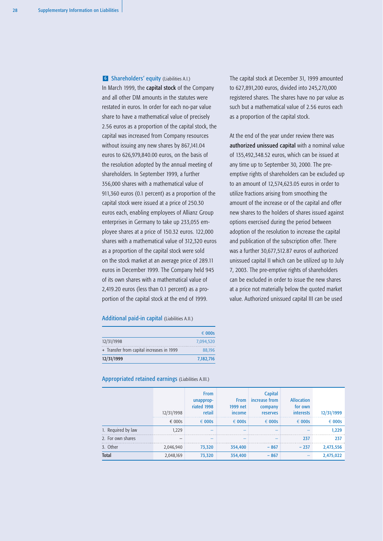**6** Shareholders' equity (Liabilities A.I.)

In March 1999, the capital stock of the Company and all other DM amounts in the statutes were restated in euros. In order for each no-par value share to have a mathematical value of precisely 2.56 euros as a proportion of the capital stock, the capital was increased from Company resources without issuing any new shares by 867,141.04 euros to 626,979,840.00 euros, on the basis of the resolution adopted by the annual meeting of shareholders. In September 1999, a further 356,000 shares with a mathematical value of 911,360 euros (0.1 percent) as a proportion of the capital stock were issued at a price of 250.30 euros each, enabling employees of Allianz Group enterprises in Germany to take up 233,055 employee shares at a price of 150.32 euros. 122,000 shares with a mathematical value of 312,320 euros as a proportion of the capital stock were sold on the stock market at an average price of 289.11 euros in December 1999. The Company held 945 of its own shares with a mathematical value of 2,419.20 euros (less than 0.1 percent) as a proportion of the capital stock at the end of 1999.

## Additional paid-in capital (Liabilities A.II.)

|                                           | $\epsilon$ 000s |
|-------------------------------------------|-----------------|
| 12/31/1998                                | 7.094.520       |
| + Transfer from capital increases in 1999 | 88.196          |
| 12/31/1999                                | 7,182,716       |

The capital stock at December 31, 1999 amounted to 627,891,200 euros, divided into 245,270,000 registered shares. The shares have no par value as such but a mathematical value of 2.56 euros each as a proportion of the capital stock.

At the end of the year under review there was authorized unissued capital with a nominal value of 135,492,348.52 euros, which can be issued at any time up to September 30, 2000. The preemptive rights of shareholders can be excluded up to an amount of 12,574,623.05 euros in order to utilize fractions arising from smoothing the amount of the increase or of the capital and offer new shares to the holders of shares issued against options exercised during the period between adoption of the resolution to increase the capital and publication of the subscription offer. There was a further 30,677,512.87 euros of authorized unissued capital II which can be utilized up to July 7, 2003. The pre-emptive rights of shareholders can be excluded in order to issue the new shares at a price not materially below the quoted market value. Authorized unissued capital III can be used

|                    | 12/31/1998<br>$\epsilon$ 000s | <b>From</b><br>unapprop-<br>riated 1998<br>retail<br>$\epsilon$ 000s | <b>From</b><br>1999 net<br>income<br>$\epsilon$ 000s | <b>Capital</b><br>increase from<br>company<br><b>reserves</b><br>$\epsilon$ 000s | <b>Allocation</b><br>for own<br><i>interests</i> | 12/31/1999<br>$\epsilon$ 000s |
|--------------------|-------------------------------|----------------------------------------------------------------------|------------------------------------------------------|----------------------------------------------------------------------------------|--------------------------------------------------|-------------------------------|
|                    |                               |                                                                      |                                                      |                                                                                  | $\epsilon$ 000s                                  |                               |
| 1. Required by law | 1.229                         |                                                                      |                                                      |                                                                                  |                                                  | 1,229                         |
| 2. For own shares  |                               | -                                                                    | -                                                    |                                                                                  | 237                                              | 237                           |
| 3. Other           | 2,046,940                     | 73,320                                                               | 354,400                                              | $-867$                                                                           | $-237$                                           | 2,473,556                     |
| <b>Total</b>       | 2,048,169                     | 73,320                                                               | 354,400                                              | $-867$                                                                           |                                                  | 2,475,022                     |

Appropriated retained earnings (Liabilities A.III.)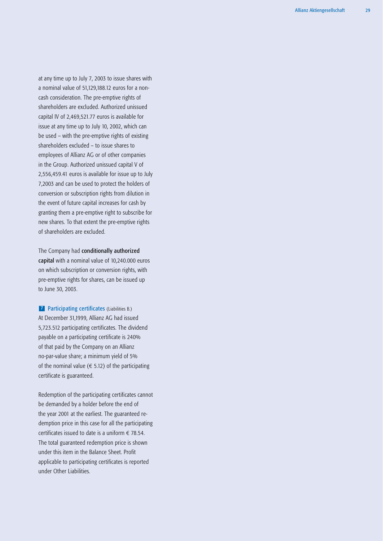at any time up to July 7, 2003 to issue shares with a nominal value of 51,129,188.12 euros for a noncash consideration. The pre-emptive rights of shareholders are excluded. Authorized unissued capital IV of 2,469,521.77 euros is available for issue at any time up to July 10, 2002, which can be used – with the pre-emptive rights of existing shareholders excluded – to issue shares to employees of Allianz AG or of other companies in the Group. Authorized unissued capital V of 2,556,459.41 euros is available for issue up to July 7,2003 and can be used to protect the holders of conversion or subscription rights from dilution in the event of future capital increases for cash by granting them a pre-emptive right to subscribe for new shares. To that extent the pre-emptive rights of shareholders are excluded.

The Company had conditionally authorized capital with a nominal value of 10,240.000 euros on which subscription or conversion rights, with pre-emptive rights for shares, can be issued up to June 30, 2003.

**7** Participating certificates (Liabilities B.) At December 31,1999, Allianz AG had issued 5,723.512 participating certificates. The dividend payable on a participating certificate is 240% of that paid by the Company on an Allianz no-par-value share; a minimum yield of 5% of the nominal value ( $\epsilon$  5.12) of the participating certificate is guaranteed.

Redemption of the participating certificates cannot be demanded by a holder before the end of the year 2001 at the earliest. The guaranteed redemption price in this case for all the participating certificates issued to date is a uniform  $\epsilon$  78.54. The total guaranteed redemption price is shown under this item in the Balance Sheet. Profit applicable to participating certificates is reported under Other Liabilities.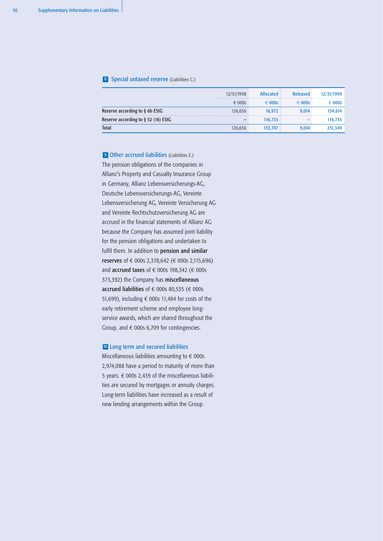#### 8 Special untaxed reserve (Liabilities C.)

|                                        | 12/31/1998      | <b>Allocated</b> | Released        | 12/31/1999      |
|----------------------------------------|-----------------|------------------|-----------------|-----------------|
|                                        | $\epsilon$ 000s | $\epsilon$ 000s  | $\epsilon$ 000s | $\epsilon$ 000s |
| Reserve according to $\S$ 6b EStG      | 126.656         | 16.972           | 9.014           | 134.614         |
| Reserve according to $\S$ 52 (16) EStG | -               | 116.735          |                 | 116,735         |
| <b>Total</b>                           | 126.656         | 133.707          | 9.014           | 251.349         |

**9 Other accrued liabilities** (Liabilities E.) The pension obligations of the companies in Allianz's Property and Casualty Insurance Group in Germany, Allianz Lebensversicherungs-AG, Deutsche Lebensversicherungs-AG, Vereinte Lebensversicherung AG, Vereinte Versicherung AG and Vereinte Rechtschutzversicherung AG are accrued in the financial statements of Allianz AG because the Company has assumed joint liability for the pension obligations and undertaken to fulfil them. In addition to pension and similar reserves of € 000s 2,378,642 (€ 000s 2,115,696) and accrued taxes of  $\epsilon$  000s 198,342 ( $\epsilon$  000s 373,392) the Company has miscellaneous accrued liabilities of  $\epsilon$  000s 80,535 ( $\epsilon$  000s 51,699), including  $\epsilon$  000s 11,484 for costs of the early retirement scheme and employee longservice awards, which are shared throughout the Group, and  $\epsilon$  000s 6,709 for contingencies.

#### Long term and secured liabilities 10

Miscellaneous liabilities amounting to  $\epsilon$  000s 2,974,088 have a period to maturity of more than 5 years.  $\in$  000s 2,439 of the miscellaneous liabilities are secured by mortgages or annuity charges. Long-term liabilities have increased as a result of new lending arrangements within the Group.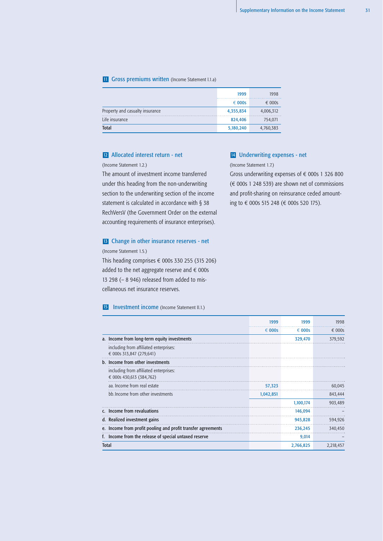#### **II** Gross premiums written (Income Statement I.1.a)

|                                 | 1999            | 1998            |
|---------------------------------|-----------------|-----------------|
|                                 | $\epsilon$ 000s | $\epsilon$ 000s |
| Property and casualty insurance | 4,355,834       | 4,006,312       |
| Life insurance                  | 824,406         | 754,071         |
| <b>Total</b>                    | 5,180,240       | 4,760,383       |

#### Allocated interest return - net 12 Allocated interest return - net **14** Underwriting expenses - net

(Income Statement 1.2.)

The amount of investment income transferred under this heading from the non-underwriting section to the underwriting section of the income statement is calculated in accordance with § 38 RechVersV (the Government Order on the external accounting requirements of insurance enterprises).

#### **13** Change in other insurance reserves - net

(Income Statement 1.5.) This heading comprises  $\epsilon$  000s 330 255 (315 206) added to the net aggregate reserve and  $\epsilon$  000s 13 298 (– 8 946) released from added to miscellaneous net insurance reserves.

#### **15** Investment income (Income Statement II.1.)

(Income Statement 1.7.)

Gross underwriting expenses of  $\epsilon$  000s 1 326 800  $(\in$  000s 1 248 539) are shown net of commissions and profit-sharing on reinsurance ceded amounting to € 000s 515 248 (€ 000s 520 175).

|              |                                                                    | 1999            | 1999            | 1998            |
|--------------|--------------------------------------------------------------------|-----------------|-----------------|-----------------|
|              |                                                                    | $\epsilon$ 000s | $\epsilon$ 000s | $\epsilon$ 000s |
|              | a. Income from long-term equity investments                        |                 | 329,470         | 379,592         |
|              | including from affiliated enterprises:<br>€ 000s 313,847 (279,641) |                 |                 |                 |
|              | b. Income from other investments                                   |                 |                 |                 |
|              | including from affiliated enterprises:<br>€ 000s 430,613 (384,762) |                 |                 |                 |
|              | aa. Income from real estate                                        | 57,323          |                 | 60,045          |
|              | bb. Income from other investments                                  | 1,042,851       |                 | 843,444         |
|              |                                                                    |                 | 1,100,174       | 903,489         |
|              | c. Income from revaluations                                        |                 | 146,094         |                 |
|              | d. Realized investment gains                                       |                 | 945,828         | 594,926         |
|              | e. Income from profit pooling and profit transfer agreements       |                 | 236,245         | 340,450         |
|              | f. Income from the release of special untaxed reserve              |                 | 9,014           |                 |
| <b>Total</b> |                                                                    |                 | 2,766,825       | 2,218,457       |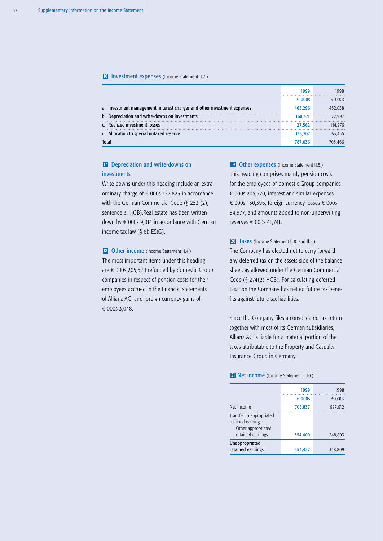#### 16 Investment expenses (Income Statement II.2.)

|                                                                          | 1999            | 1998            |
|--------------------------------------------------------------------------|-----------------|-----------------|
|                                                                          | $\epsilon$ 000s | $\epsilon$ 000s |
| a. Investment management, interest charges and other investment expenses | 465.296         | 452.038         |
| b. Depreciation and write-downs on investments                           | 160.471         | 72.997          |
| c. Realized investment losses                                            | 27.562          | 114.976         |
| d. Allocation to special untaxed reserve                                 | 133.707         | 63,455          |
| <b>Total</b>                                                             | 787.036         | 703.466         |

# **IZ** Depreciation and write-downs on investments

Write-downs under this heading include an extraordinary charge of  $\epsilon$  000s 127,823 in accordance with the German Commercial Code (§ 253 (2), sentence 3, HGB).Real estate has been written down by  $\epsilon$  000s 9,014 in accordance with German income tax law (§ 6b EStG).

18 Other income (Income Statement II.4.) The most important items under this heading are  $\epsilon$  000s 205,520 refunded by domestic Group companies in respect of pension costs for their employees accrued in the financial statements of Allianz AG, and foreign currency gains of € 000s 3,048.

19 Other expenses (Income Statement II.5.) This heading comprises mainly pension costs for the employees of domestic Group companies  $\epsilon$  000s 205,520, interest and similar expenses € 000s 150,396, foreign currency losses  $∈$  000s 84,977, and amounts added to non-underwriting reserves  $\epsilon$  000s 41,741.

20 Taxes (Income Statement II.8. and II.9.) The Company has elected not to carry forward any deferred tax on the assets side of the balance sheet, as allowed under the German Commercial Code (§ 274(2) HGB). For calculating deferred taxation the Company has netted future tax benefits against future tax liabilities.

Since the Company files a consolidated tax return together with most of its German subsidiaries, Allianz AG is liable for a material portion of the taxes attributable to the Property and Casualty Insurance Group in Germany.

21 Net income (Income Statement II.10.)

| 1999            | 1998            |
|-----------------|-----------------|
| $\epsilon$ 000s | $\epsilon$ 000s |
| 708,837         | 697,612         |
|                 |                 |
|                 | 348,803         |
| 354,437         | 348,809         |
|                 | 354,400         |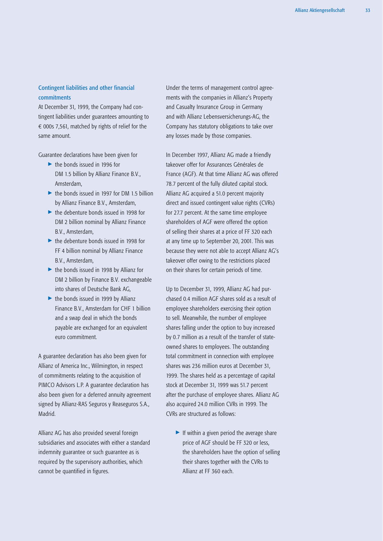# Contingent liabilities and other financial commitments

At December 31, 1999, the Company had contingent liabilities under guarantees amounting to  $\epsilon$  000s 7,561, matched by rights of relief for the same amount.

Guarantee declarations have been given for

- ▶ the bonds issued in 1996 for DM 1.5 billion by Allianz Finance B.V., Amsterdam,
- ▶ the bonds issued in 1997 for DM 1.5 billion by Allianz Finance B.V., Amsterdam,
- ▶ the debenture bonds issued in 1998 for DM 2 billion nominal by Allianz Finance B.V., Amsterdam,
- ▶ the debenture bonds issued in 1998 for FF 4 billion nominal by Allianz Finance B.V., Amsterdam,
- ▶ the bonds issued in 1998 by Allianz for DM 2 billion by Finance B.V. exchangeable into shares of Deutsche Bank AG,
- $\triangleright$  the bonds issued in 1999 by Allianz Finance B.V., Amsterdam for CHF 1 billion and a swap deal in which the bonds payable are exchanged for an equivalent euro commitment.

A guarantee declaration has also been given for Allianz of America Inc., Wilmington, in respect of commitments relating to the acquisition of PIMCO Advisors L.P. A guarantee declaration has also been given for a deferred annuity agreement signed by Allianz-RAS Seguros y Reaseguros S.A., Madrid.

Allianz AG has also provided several foreign subsidiaries and associates with either a standard indemnity guarantee or such guarantee as is required by the supervisory authorities, which cannot be quantified in figures.

Under the terms of management control agreements with the companies in Allianz's Property and Casualty Insurance Group in Germany and with Allianz Lebensversicherungs-AG, the Company has statutory obligations to take over any losses made by those companies.

In December 1997, Allianz AG made a friendly takeover offer for Assurances Générales de France (AGF). At that time Allianz AG was offered 78.7 percent of the fully diluted capital stock. Allianz AG acquired a 51.0 percent majority direct and issued contingent value rights (CVRs) for 27.7 percent. At the same time employee shareholders of AGF were offered the option of selling their shares at a price of FF 320 each at any time up to September 20, 2001. This was because they were not able to accept Allianz AG's takeover offer owing to the restrictions placed on their shares for certain periods of time.

Up to December 31, 1999, Allianz AG had purchased 0.4 million AGF shares sold as a result of employee shareholders exercising their option to sell. Meanwhile, the number of employee shares falling under the option to buy increased by 0.7 million as a result of the transfer of stateowned shares to employees. The outstanding total commitment in connection with employee shares was 236 million euros at December 31, 1999. The shares held as a percentage of capital stock at December 31, 1999 was 51.7 percent after the purchase of employee shares. Allianz AG also acquired 24.0 million CVRs in 1999. The CVRs are structured as follows:

If within a given period the average share price of AGF should be FF 320 or less, the shareholders have the option of selling their shares together with the CVRs to Allianz at FF 360 each.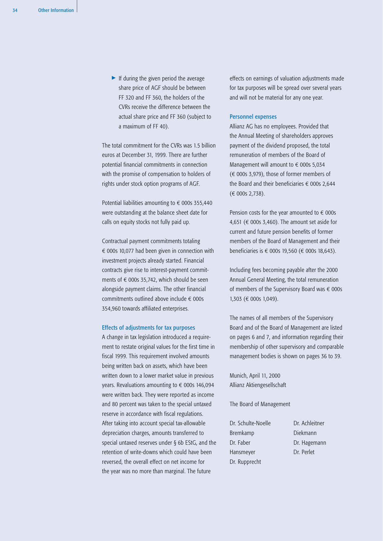$\blacktriangleright$  If during the given period the average share price of AGF should be between FF 320 and FF 360, the holders of the CVRs receive the difference between the actual share price and FF 360 (subject to a maximum of FF 40).

The total commitment for the CVRs was 1.5 billion euros at December 31, 1999. There are further potential financial commitments in connection with the promise of compensation to holders of rights under stock option programs of AGF.

Potential liabilities amounting to  $\epsilon$  000s 355,440 were outstanding at the balance sheet date for calls on equity stocks not fully paid up.

Contractual payment commitments totaling  $\epsilon$  000s 10,077 had been given in connection with investment projects already started. Financial contracts give rise to interest-payment commitments of  $\epsilon$  000s 35,742, which should be seen alongside payment claims. The other financial commitments outlined above include  $\epsilon$  000s 354,960 towards affiliated enterprises.

#### Effects of adjustments for tax purposes

A change in tax legislation introduced a requirement to restate original values for the first time in fiscal 1999. This requirement involved amounts being written back on assets, which have been written down to a lower market value in previous years. Revaluations amounting to  $\epsilon$  000s 146,094 were written back. They were reported as income and 80 percent was taken to the special untaxed reserve in accordance with fiscal regulations. After taking into account special tax-allowable depreciation charges, amounts transferred to special untaxed reserves under § 6b EStG, and the retention of write-downs which could have been reversed, the overall effect on net income for the year was no more than marginal. The future

effects on earnings of valuation adjustments made for tax purposes will be spread over several years and will not be material for any one year.

# Personnel expenses

Allianz AG has no employees. Provided that the Annual Meeting of shareholders approves payment of the dividend proposed, the total remuneration of members of the Board of Management will amount to  $\epsilon$  000s 5,034  $(\in$  000s 3,979), those of former members of the Board and their beneficiaries  $\epsilon$  000s 2,644  $(E 000s 2.738).$ 

Pension costs for the year amounted to  $\epsilon$  000s 4,651 ( $\epsilon$  000s 3,460). The amount set aside for current and future pension benefits of former members of the Board of Management and their beneficiaries is € 000s 19,560 (€ 000s 18,643).

Including fees becoming payable after the 2000 Annual General Meeting, the total remuneration of members of the Supervisory Board was  $\epsilon$  000s 1,303 (€ 000s 1,049).

The names of all members of the Supervisory Board and of the Board of Management are listed on pages 6 and 7, and information regarding their membership of other supervisory and comparable management bodies is shown on pages 36 to 39.

Munich, April 11, 2000 Allianz Aktiengesellschaft

The Board of Management

Dr. Schulte-Noelle Dr. Achleitner Bremkamp Diekmann Dr. Faber Dr. Hagemann Hansmeyer Dr. Perlet Dr. Rupprecht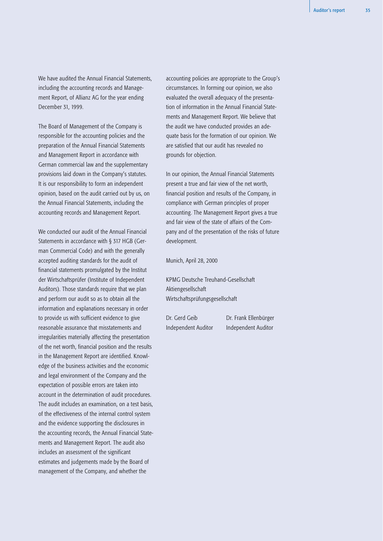We have audited the Annual Financial Statements, including the accounting records and Management Report, of Allianz AG for the year ending December 31, 1999.

The Board of Management of the Company is responsible for the accounting policies and the preparation of the Annual Financial Statements and Management Report in accordance with German commercial law and the supplementary provisions laid down in the Company's statutes. It is our responsibility to form an independent opinion, based on the audit carried out by us, on the Annual Financial Statements, including the accounting records and Management Report.

We conducted our audit of the Annual Financial Statements in accordance with § 317 HGB (German Commercial Code) and with the generally accepted auditing standards for the audit of financial statements promulgated by the Institut der Wirtschaftsprüfer (Institute of Independent Auditors). Those standards require that we plan and perform our audit so as to obtain all the information and explanations necessary in order to provide us with sufficient evidence to give reasonable assurance that misstatements and irregularities materially affecting the presentation of the net worth, financial position and the results in the Management Report are identified. Knowledge of the business activities and the economic and legal environment of the Company and the expectation of possible errors are taken into account in the determination of audit procedures. The audit includes an examination, on a test basis, of the effectiveness of the internal control system and the evidence supporting the disclosures in the accounting records, the Annual Financial Statements and Management Report. The audit also includes an assessment of the significant estimates and judgements made by the Board of management of the Company, and whether the

accounting policies are appropriate to the Group's circumstances. In forming our opinion, we also evaluated the overall adequacy of the presentation of information in the Annual Financial Statements and Management Report. We believe that the audit we have conducted provides an adequate basis for the formation of our opinion. We are satisfied that our audit has revealed no grounds for objection.

In our opinion, the Annual Financial Statements present a true and fair view of the net worth, financial position and results of the Company, in compliance with German principles of proper accounting. The Management Report gives a true and fair view of the state of affairs of the Company and of the presentation of the risks of future development.

Munich, April 28, 2000

KPMG Deutsche Treuhand-Gesellschaft Aktiengesellschaft Wirtschaftsprüfungsgesellschaft

Independent Auditor Independent Auditor

Dr. Gerd Geib Dr. Frank Ellenbürger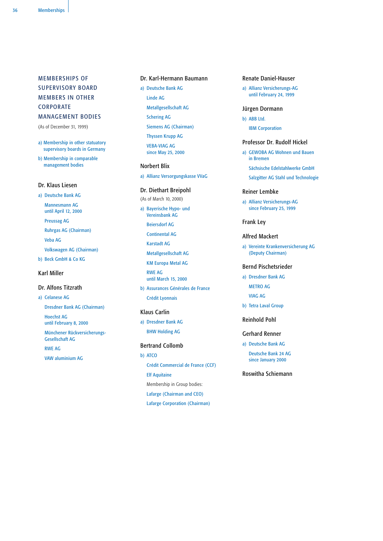# MEMBERSHIPS OF SUPERVISORY BOARD MEMBERS IN OTHER CORPORATE MANAGEMENT BODIES

(As of December 31, 1999)

a) Membership in other statuatory supervisory boards in Germany

b) Membership in comparable management bodies

# Dr. Klaus Liesen

a) Deutsche Bank AG Mannesmann AG until April 12, 2000 Preussag AG Ruhrgas AG (Chairman) Veba AG Volkswagen AG (Chairman)

b) Beck GmbH & Co KG

# Karl Miller

# Dr. Alfons Titzrath

a) Celanese AG

Dresdner Bank AG (Chairman) Hoechst AG until February 8, 2000

Münchener Rückversicherungs-Gesellschaft AG

RWE AG

VAW aluminium AG

# Dr. Karl-Hermann Baumann

- a) Deutsche Bank AG
	- Linde AG
	- Metallgesellschaft AG Schering AG

Siemens AG (Chairman)

Thyssen Krupp AG

VEBA-VIAG AG since May 25, 2000

# Norbert Blix

a) Allianz Versorgungskasse VVaG

# Dr. Diethart Breipohl

- (As of March 10, 2000)
- a) Bayerische Hypo- und Vereinsbank AG
	- Beiersdorf AG
	- Continental AG
	- Karstadt AG
	- Metallgesellschaft AG
	- KM Europa Metal AG
	- RWE AG until March 15, 2000
- b) Assurances Générales de France Crédit Lyonnais

#### Klaus Carlin

a) Dresdner Bank AG BHW Holding AG

# Bertrand Collomb

b) ATCO Crédit Commercial de France (CCF) Elf Aquitaine Membership in Group bodies: Lafarge (Chairman and CEO) Lafarge Corporation (Chairman)

### Renate Daniel-Hauser

a) Allianz Versicherungs-AG until February 24, 1999

## Jürgen Dormann

b) ABB Ltd.

IBM Corporation

# Professor Dr. Rudolf Hickel

- a) GEWOBA AG Wohnen und Bauen in Bremen Sächsische Edelstahlwerke GmbH
	- Salzgitter AG Stahl und Technologie

# Reiner Lembke

- a) Allianz Versicherungs-AG since February 25, 1999
- Frank Ley

#### Alfred Mackert

a) Vereinte Krankenversicherung AG (Deputy Chairman)

# Bernd Pischetsrieder

- a) Dresdner Bank AG METRO AG VIAG AG
- b) Tetra Laval Group

# Reinhold Pohl

## Gerhard Renner

a) Deutsche Bank AG

Deutsche Bank 24 AG since January 2000

# Roswitha Schiemann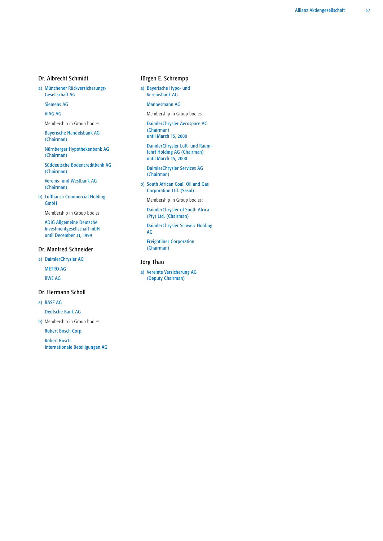# Dr. Albrecht Schmidt

a) Münchener Rückversicherungs-Gesellschaft AG

Siemens AG

VIAG AG

Membership in Group bodies:

Bayerische Handelsbank AG (Chairman)

Nürnberger Hypothekenbank AG (Chairman)

Süddeutsche Bodencreditbank AG (Chairman)

Vereins- und Westbank AG (Chairman)

b) Lufthansa Commercial Holding GmbH

Membership in Group bodies:

ADIG Allgemeine Deutsche Investmentgesellschaft mbH until December 31, 1999

# Dr. Manfred Schneider

a) DaimlerChrysler AG

METRO AG RWE AG

#### Dr. Hermann Scholl

a) BASF AG

Deutsche Bank AG

b) Membership in Group bodies:

Robert Bosch Corp.

Robert Bosch Internationale Beteiligungen AG

# Jürgen E. Schrempp

a) Bayerische Hypo- und Vereinsbank AG

### Mannesmann AG

Membership in Group bodies:

DaimlerChrysler Aerospace AG (Chairman) until March 15, 2000

DaimlerChrysler Luft- und Raum-

fahrt Holding AG (Chairman) until March 15, 2000

DaimlerChrysler Services AG (Chairman)

b) South African Coal, Oil and Gas Corporation Ltd. (Sasol)

Membership in Group bodies:

DaimlerChrysler of South Africa (Pty) Ltd. (Chairman)

DaimlerChrysler Schweiz Holding AG

Freightliner Corporation (Chairman)

# Jörg Thau

a) Vereinte Versicherung AG (Deputy Chairman)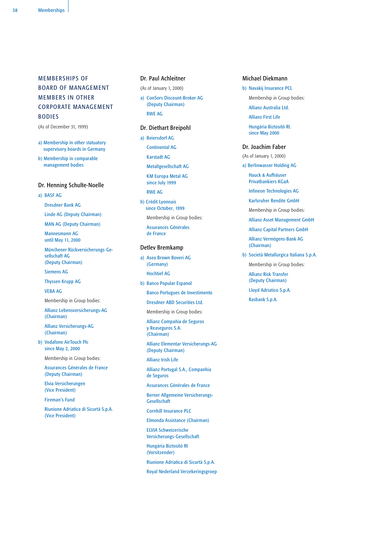# MEMBERSHIPS OF BOARD OF MANAGEMENT MEMBERS IN OTHER CORPORATE MANAGEMENT **BODIES**

(As of December 31, 1999)

- a) Membership in other statuatory supervisory boards in Germany
- b) Membership in comparable management bodies

## Dr. Henning Schulte-Noelle

a) BASF AG

Dresdner Bank AG

Linde AG (Deputy Chairman)

MAN AG (Deputy Chairman)

Mannesmann AG until May 11, 2000

Münchener Rückversicherungs-Gesellschaft AG (Deputy Chairman)

Siemens AG

Thyssen Krupp AG VEBA AG

Membership in Group bodies:

Allianz Lebensversicherungs-AG (Chairman)

Allianz Versicherungs-AG (Chairman)

b) Vodafone AirTouch Plc since May 2, 2000

Membership in Group bodies:

Assurances Générales de France (Deputy Chairman)

Elvia Versicherungen (Vice President)

Fireman's Fund

Riunione Adriatica di Sicurtà S.p.A. (Vice President)

# Dr. Paul Achleitner

- (As of January 1, 2000)
- a) ConSors Discount-Broker AG (Deputy Chairman) RWE AG

# Dr. Diethart Breipohl

a) Beiersdorf AG

Continental AG

Karstadt AG

Metallgesellschaft AG KM Europa Metal AG since July 1999

RWE AG

b) Crédit Lyonnais since October, 1999

Membership in Group bodies:

Assurances Générales de France

# Detlev Bremkamp

a) Asea Brown Boveri AG (Germany) Hochtief AG

b) Banco Popular Espanol

Banco Portugues de Investimento

Dresdner ABD Securities Ltd.

Membership in Group bodies:

Allianz Compañia de Seguros y Reaseguros S.A. (Chairman)

Allianz Elementar Versicherungs-AG (Deputy Chairman)

Allianz Irish Life

Allianz Portugal S.A., Companhia de Seguros

Assurances Générales de France

Berner Allgemeine Versicherungs-Gesellschaft

Cornhill Insurance PLC

Elmonda Assistance (Chairman)

ELVIA Schweizerische Versicherungs-Gesellschaft

Hungária Biztositó Rt (Vorsitzender)

Riunione Adriatica di Sicurtà S.p.A.

Royal Nederland Verzekeringsgroep

# Michael Diekmann

b) Navakij Insurance PCL

Membership in Group bodies:

Allianz Australia Ltd.

Allianz First Life

Hungária Biztositó Rt. since May 2000

#### Dr. Joachim Faber

(As of January 1, 2000)

a) Berlinwasser Holding AG

Hauck & Aufhäuser Privatbankiers KGaA

Infineon Technologies AG

Karlsruher Rendite GmbH

Membership in Group bodies:

Allianz Asset Management GmbH

Allianz Capital Partners GmbH

Allianz Vermögens-Bank AG (Chairman)

b) Società Metallurgica Italiana S.p.A.

Membership in Group bodies:

Allianz Risk Transfer (Deputy Chairman)

Lloyd Adriatico S.p.A.

Rasbank S.p.A.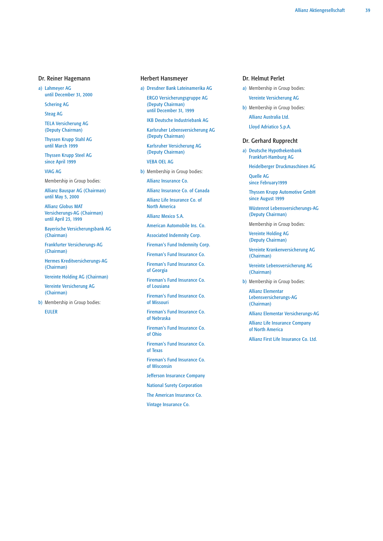#### Dr. Reiner Hagemann

a) Lahmeyer AG until December 31, 2000

Schering AG

Steag AG

TELA Versicherung AG (Deputy Chairman)

Thyssen Krupp Stahl AG until March 1999

Thyssen Krupp Steel AG since April 1999

VIAG AG

Membership in Group bodies:

Allianz Bauspar AG (Chairman) until May 5, 2000

Allianz Globus MAT Versicherungs-AG (Chairman) until April 23, 1999

Bayerische Versicherungsbank AG (Chairman)

Frankfurter Versicherungs-AG (Chairman)

Hermes Kreditversicherungs-AG (Chairman)

Vereinte Holding AG (Chairman)

Vereinte Versicherung AG (Chairman)

b) Membership in Group bodies: EULER

#### Herbert Hansmeyer

a) Dresdner Bank Lateinamerika AG

ERGO Versicherungsgruppe AG (Deputy Chairman) until December 31, 1999

IKB Deutsche Industriebank AG

Karlsruher Lebensversicherung AG (Deputy Chairman)

Karlsruher Versicherung AG (Deputy Chairman)

VEBA OEL AG

b) Membership in Group bodies:

Allianz Insurance Co.

Allianz Insurance Co. of Canada

Allianz Life Insurance Co. of North America

Allianz Mexico S.A.

American Automobile Ins. Co.

Associated Indemnity Corp.

Fireman's Fund Indemnity Corp.

Fireman's Fund Insurance Co.

Fireman's Fund Insurance Co. of Georgia

Fireman's Fund Insurance Co. of Lousiana

Fireman's Fund Insurance Co. of Missouri

Fireman's Fund Insurance Co. of Nebraska

Fireman's Fund Insurance Co. of Ohio

Fireman's Fund Insurance Co. of Texas

Fireman's Fund Insurance Co.

of Wisconsin

Jefferson Insurance Company

National Surety Corporation

The American Insurance Co.

Vintage Insurance Co.

# Dr. Helmut Perlet

a) Membership in Group bodies: Vereinte Versicherung AG

b) Membership in Group bodies: Allianz Australia Ltd. Lloyd Adriatico S.p.A.

#### Dr. Gerhard Rupprecht

a) Deutsche Hypothekenbank Frankfurt-Hamburg AG

Heidelberger Druckmaschinen AG

Quelle AG since February1999

Thyssen Krupp Automotive GmbH since August 1999

Wüstenrot Lebensversicherungs-AG (Deputy Chairman)

Membership in Group bodies:

Vereinte Holding AG (Deputy Chairman)

Vereinte Krankenversicherung AG (Chairman)

Vereinte Lebensversicherung AG (Chairman)

b) Membership in Group bodies:

Allianz Elementar Lebensversicherungs-AG (Chairman)

Allianz Elementar Versicherungs-AG

Allianz Life Insurance Company of North America

Allianz First Life Insurance Co. Ltd.